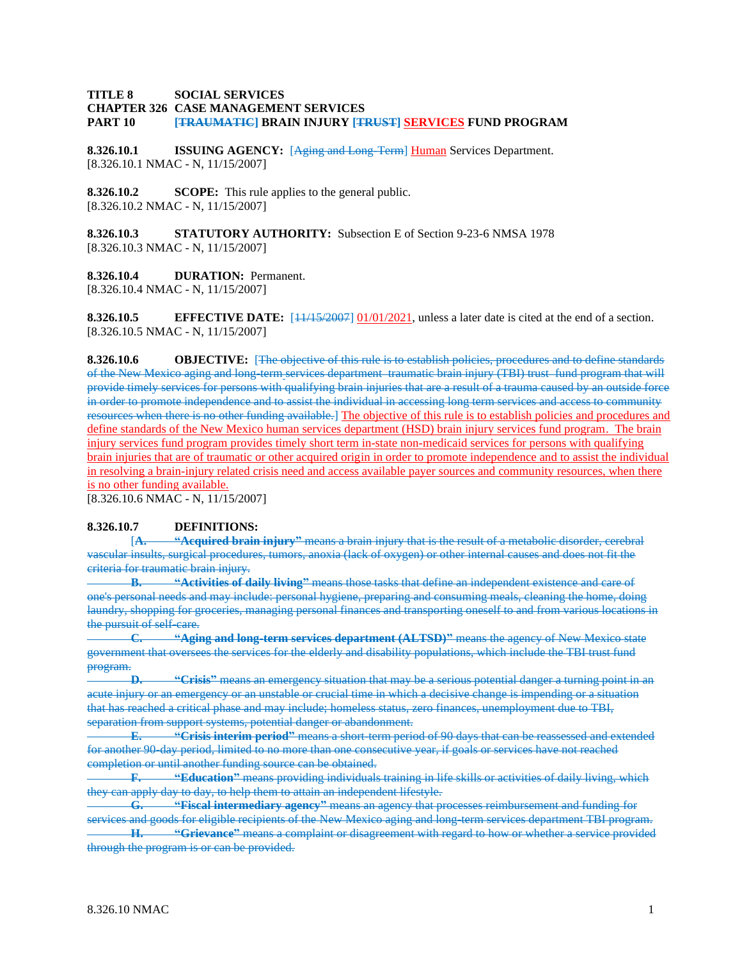## **TITLE 8 SOCIAL SERVICES CHAPTER 326 CASE MANAGEMENT SERVICES PART 10 [TRAUMATIC] BRAIN INJURY [TRUST] SERVICES FUND PROGRAM**

**8.326.10.1 ISSUING AGENCY:** [Aging and Long-Term] Human Services Department. [8.326.10.1 NMAC - N, 11/15/2007]

**8.326.10.2 SCOPE:** This rule applies to the general public. [8.326.10.2 NMAC - N, 11/15/2007]

**8.326.10.3 STATUTORY AUTHORITY:** Subsection E of Section 9-23-6 NMSA 1978 [8.326.10.3 NMAC - N, 11/15/2007]

**8.326.10.4 DURATION:** Permanent. [8.326.10.4 NMAC - N, 11/15/2007]

**8.326.10.5 EFFECTIVE DATE:**  $\frac{11}{13}$   $\frac{1}{32007}$  01/01/2021, unless a later date is cited at the end of a section. [8.326.10.5 NMAC - N, 11/15/2007]

**8.326.10.6 OBJECTIVE:** [The objective of this rule is to establish policies, procedures and to define standards of the New Mexico aging and long-term services department traumatic brain injury (TBI) trust fund program that will provide timely services for persons with qualifying brain injuries that are a result of a trauma caused by an outside force in order to promote independence and to assist the individual in accessing long term services and access to community resources when there is no other funding available.] The objective of this rule is to establish policies and procedures and define standards of the New Mexico human services department (HSD) brain injury services fund program. The brain injury services fund program provides timely short term in-state non-medicaid services for persons with qualifying brain injuries that are of traumatic or other acquired origin in order to promote independence and to assist the individual in resolving a brain-injury related crisis need and access available payer sources and community resources, when there is no other funding available.

[8.326.10.6 NMAC - N, 11/15/2007]

### **8.326.10.7 DEFINITIONS:**

[**A. "Acquired brain injury"** means a brain injury that is the result of a metabolic disorder, cerebral vascular insults, surgical procedures, tumors, anoxia (lack of oxygen) or other internal causes and does not fit the criteria for traumatic brain injury.

**B. "Activities of daily living"** means those tasks that define an independent existence and care of one's personal needs and may include: personal hygiene, preparing and consuming meals, cleaning the home, doing laundry, shopping for groceries, managing personal finances and transporting oneself to and from various locations in the pursuit of self-care.

**C. "Aging and long-term services department (ALTSD)"** means the agency of New Mexico state government that oversees the services for the elderly and disability populations, which include the TBI trust fund program.

**D. "Crisis"** means an emergency situation that may be a serious potential danger a turning point in an acute injury or an emergency or an unstable or crucial time in which a decisive change is impending or a situation that has reached a critical phase and may include; homeless status, zero finances, unemployment due to TBI, separation from support systems, potential danger or abandonment.

**E. "Crisis interim period"** means a short-term period of 90 days that can be reassessed and extended for another 90-day period, limited to no more than one consecutive year, if goals or services have not reached completion or until another funding source can be obtained.

**F. "Education"** means providing individuals training in life skills or activities of daily living, which they can apply day to day, to help them to attain an independent lifestyle.

**G. "Fiscal intermediary agency"** means an agency that processes reimbursement and funding for services and goods for eligible recipients of the New Mexico aging and long-term services department TBI program.

**H. "Grievance"** means a complaint or disagreement with regard to how or whether a service provided through the program is or can be provided.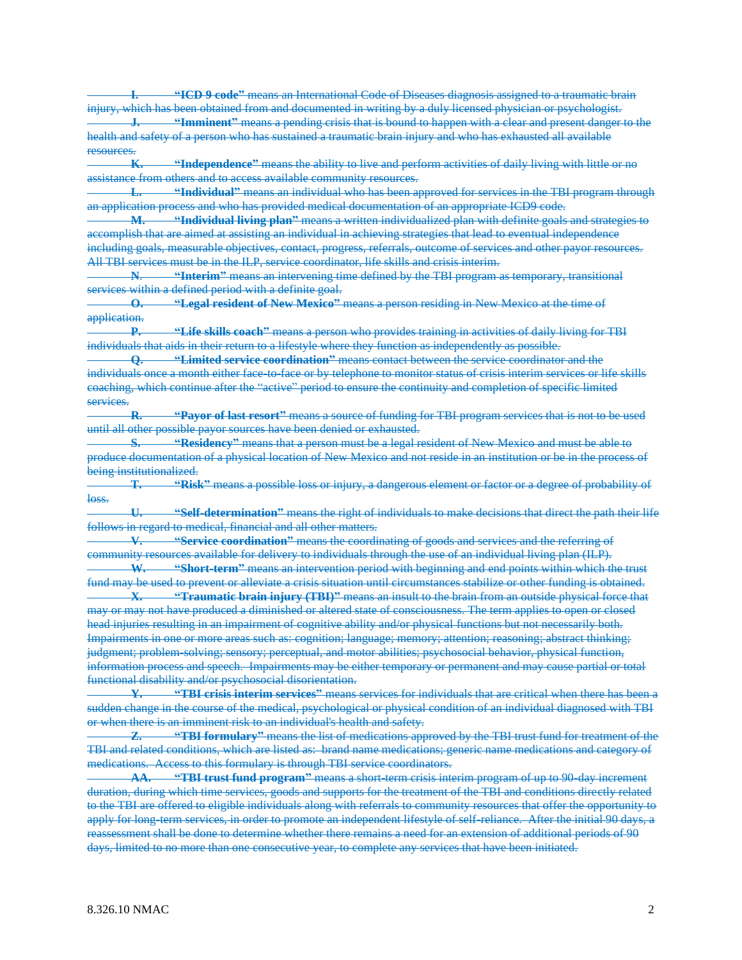**I. "ICD 9 code"** means an International Code of Diseases diagnosis assigned to a traumatic brain injury, which has been obtained from and documented in writing by a duly licensed physician or psychologist. **J. "Imminent"** means a pending crisis that is bound to happen with a clear and present danger to the health and safety of a person who has sustained a traumatic brain injury and who has exhausted all available resources.

**K. "Independence"** means the ability to live and perform activities of daily living with little or no assistance from others and to access available community resources.

**L. "Individual"** means an individual who has been approved for services in the TBI program through an application process and who has provided medical documentation of an appropriate ICD9 code.

**M. "Individual living plan"** means a written individualized plan with definite goals and strategies to accomplish that are aimed at assisting an individual in achieving strategies that lead to eventual independence including goals, measurable objectives, contact, progress, referrals, outcome of services and other payor resources. All TBI services must be in the ILP, service coordinator, life skills and crisis interim.

**N**. **"Interim"** means an intervening time defined by the TBI program as temporary, transitional services within a defined period with a definite goal.

**O. "Legal resident of New Mexico"** means a person residing in New Mexico at the time of application.

**P. "Life skills coach"** means a person who provides training in activities of daily living for TBI individuals that aids in their return to a lifestyle where they function as independently as possible.

**Q. "Limited service coordination"** means contact between the service coordinator and the individuals once a month either face-to-face or by telephone to monitor status of crisis interim services or life skills coaching, which continue after the "active" period to ensure the continuity and completion of specific limited services.

**R. "Payor of last resort"** means a source of funding for TBI program services that is not to be used until all other possible payor sources have been denied or exhausted.

**S. "Residency"** means that a person must be a legal resident of New Mexico and must be able to produce documentation of a physical location of New Mexico and not reside in an institution or be in the process of being institutionalized.

**T. "Risk"** means a possible loss or injury, a dangerous element or factor or a degree of probability of loss.

**U. "Self-determination"** means the right of individuals to make decisions that direct the path their life follows in regard to medical, financial and all other matters.

**V. "Service coordination"** means the coordinating of goods and services and the referring of community resources available for delivery to individuals through the use of an individual living plan (ILP). **W. "Short-term"** means an intervention period with beginning and end points within which the trust

fund may be used to prevent or alleviate a crisis situation until circumstances stabilize or other funding is obtained.

**X. "Traumatic brain injury (TBI)"** means an insult to the brain from an outside physical force that may or may not have produced a diminished or altered state of consciousness. The term applies to open or closed head injuries resulting in an impairment of cognitive ability and/or physical functions but not necessarily both. Impairments in one or more areas such as: cognition; language; memory; attention; reasoning; abstract thinking; judgment; problem-solving; sensory; perceptual, and motor abilities; psychosocial behavior, physical function, information process and speech. Impairments may be either temporary or permanent and may cause partial or total functional disability and/or psychosocial disorientation.

**Y. "TBI crisis interim services"** means services for individuals that are critical when there has been a sudden change in the course of the medical, psychological or physical condition of an individual diagnosed with TBI or when there is an imminent risk to an individual's health and safety.

**Z. "TBI formulary"** means the list of medications approved by the TBI trust fund for treatment of the TBI and related conditions, which are listed as: brand name medications; generic name medications and category of medications. Access to this formulary is through TBI service coordinators.

**AA. "TBI trust fund program"** means a short-term crisis interim program of up to 90-day increment duration, during which time services, goods and supports for the treatment of the TBI and conditions directly related to the TBI are offered to eligible individuals along with referrals to community resources that offer the opportunity to apply for long-term services, in order to promote an independent lifestyle of self-reliance. After the initial 90 days, a reassessment shall be done to determine whether there remains a need for an extension of additional periods of 90 days, limited to no more than one consecutive year, to complete any services that have been initiated.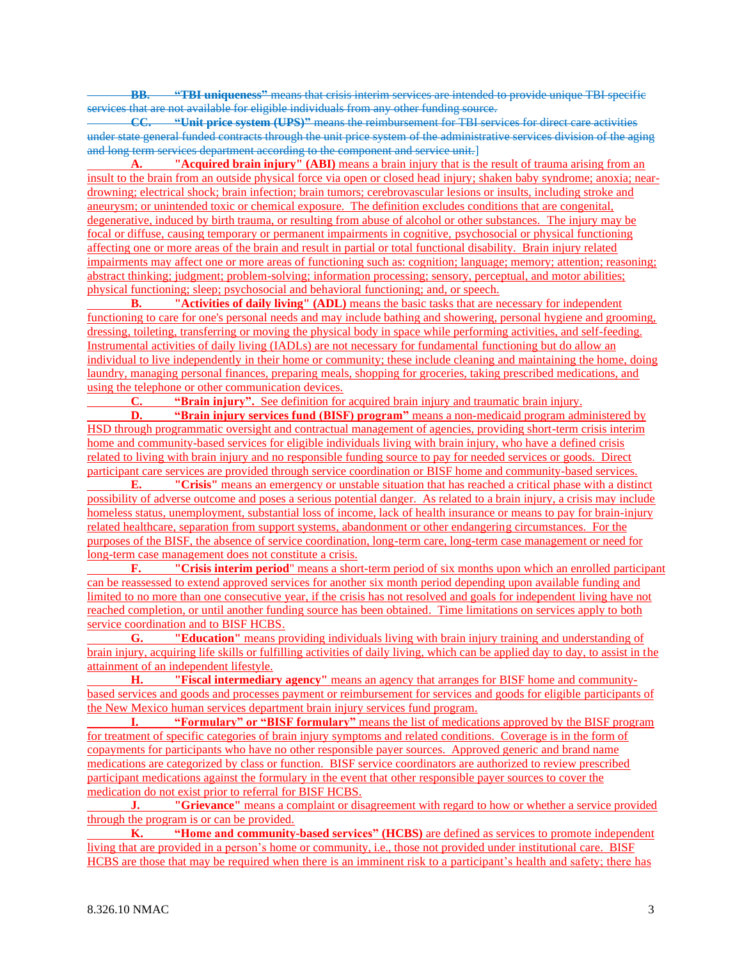**BB. "TBI uniqueness"** means that crisis interim services are intended to provide unique TBI specific services that are not available for eligible individuals from any other funding source.

**CC. "Unit price system (UPS)"** means the reimbursement for TBI services for direct care activities under state general funded contracts through the unit price system of the administrative services division of the aging and long term services department according to the component and service unit.]

**A. "Acquired brain injury" (ABI)** means a brain injury that is the result of trauma arising from an insult to the brain from an outside physical force via open or closed head injury; shaken baby syndrome; anoxia; neardrowning; electrical shock; brain infection; brain tumors; cerebrovascular lesions or insults, including stroke and aneurysm; or unintended toxic or chemical exposure. The definition excludes conditions that are congenital, degenerative, induced by birth trauma, or resulting from abuse of alcohol or other substances. The injury may be focal or diffuse, causing temporary or permanent impairments in cognitive, psychosocial or physical functioning affecting one or more areas of the brain and result in partial or total functional disability. Brain injury related impairments may affect one or more areas of functioning such as: cognition; language; memory; attention; reasoning; abstract thinking; judgment; problem-solving; information processing; sensory, perceptual, and motor abilities; physical functioning; sleep; psychosocial and behavioral functioning; and, or speech.

**B. "Activities of daily living" (ADL)** means the basic tasks that are necessary for independent functioning to care for one's personal needs and may include bathing and showering, personal hygiene and grooming, dressing, toileting, transferring or moving the physical body in space while performing activities, and self-feeding. Instrumental activities of daily living (IADLs) are not necessary for fundamental functioning but do allow an individual to live independently in their home or community; these include cleaning and maintaining the home, doing laundry, managing personal finances, preparing meals, shopping for groceries, taking prescribed medications, and using the telephone or other communication devices.

**C. "Brain injury".** See definition for acquired brain injury and traumatic brain injury.

**D. "Brain injury services fund (BISF) program"** means a non-medicaid program administered by HSD through programmatic oversight and contractual management of agencies, providing short-term crisis interim home and community-based services for eligible individuals living with brain injury, who have a defined crisis related to living with brain injury and no responsible funding source to pay for needed services or goods. Direct participant care services are provided through service coordination or BISF home and community-based services.

**E. "Crisis"** means an emergency or unstable situation that has reached a critical phase with a distinct possibility of adverse outcome and poses a serious potential danger. As related to a brain injury, a crisis may include homeless status, unemployment, substantial loss of income, lack of health insurance or means to pay for brain-injury related healthcare, separation from support systems, abandonment or other endangering circumstances. For the purposes of the BISF, the absence of service coordination, long-term care, long-term case management or need for long-term case management does not constitute a crisis.

**F. "Crisis interim period**" means a short-term period of six months upon which an enrolled participant can be reassessed to extend approved services for another six month period depending upon available funding and limited to no more than one consecutive year, if the crisis has not resolved and goals for independent living have not reached completion, or until another funding source has been obtained. Time limitations on services apply to both service coordination and to BISF HCBS.

**G. "Education"** means providing individuals living with brain injury training and understanding of brain injury, acquiring life skills or fulfilling activities of daily living, which can be applied day to day, to assist in the attainment of an independent lifestyle.

**H. "Fiscal intermediary agency"** means an agency that arranges for BISF home and communitybased services and goods and processes payment or reimbursement for services and goods for eligible participants of the New Mexico human services department brain injury services fund program.

**I. "Formulary" or "BISF formulary"** means the list of medications approved by the BISF program for treatment of specific categories of brain injury symptoms and related conditions. Coverage is in the form of copayments for participants who have no other responsible payer sources. Approved generic and brand name medications are categorized by class or function. BISF service coordinators are authorized to review prescribed participant medications against the formulary in the event that other responsible payer sources to cover the medication do not exist prior to referral for BISF HCBS.

**J. "Grievance"** means a complaint or disagreement with regard to how or whether a service provided through the program is or can be provided.

**K. "Home and community-based services" (HCBS)** are defined as services to promote independent living that are provided in a person's home or community, i.e., those not provided under institutional care. BISF HCBS are those that may be required when there is an imminent risk to a participant's health and safety; there has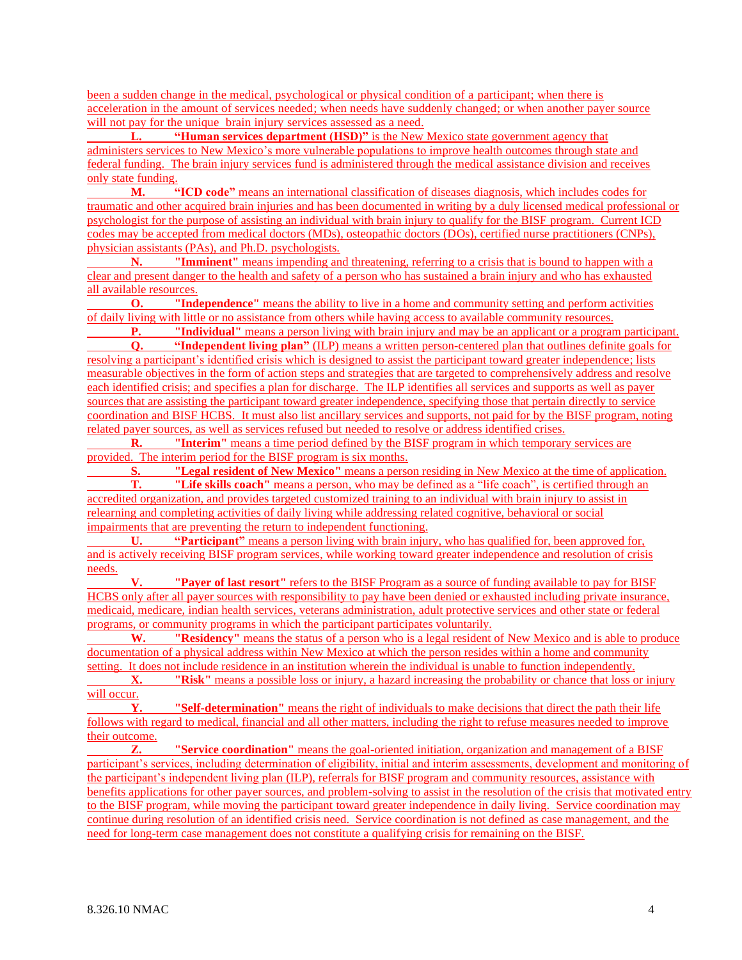been a sudden change in the medical, psychological or physical condition of a participant; when there is acceleration in the amount of services needed; when needs have suddenly changed; or when another payer source will not pay for the unique brain injury services assessed as a need.

**L. "Human services department (HSD)"** is the New Mexico state government agency that administers services to New Mexico's more vulnerable populations to improve health outcomes through state and federal funding. The brain injury services fund is administered through the medical assistance division and receives only state funding.

**M. "ICD code"** means an international classification of diseases diagnosis, which includes codes for traumatic and other acquired brain injuries and has been documented in writing by a duly licensed medical professional or psychologist for the purpose of assisting an individual with brain injury to qualify for the BISF program. Current ICD codes may be accepted from medical doctors (MDs), osteopathic doctors (DOs), certified nurse practitioners (CNPs), physician assistants (PAs), and Ph.D. psychologists.

**N. "Imminent"** means impending and threatening, referring to a crisis that is bound to happen with a clear and present danger to the health and safety of a person who has sustained a brain injury and who has exhausted all available resources.

**O. "Independence"** means the ability to live in a home and community setting and perform activities of daily living with little or no assistance from others while having access to available community resources.

**P. "Individual"** means a person living with brain injury and may be an applicant or a program participant. **Q. "Independent living plan"** (ILP) means a written person-centered plan that outlines definite goals for resolving a participant's identified crisis which is designed to assist the participant toward greater independence; lists measurable objectives in the form of action steps and strategies that are targeted to comprehensively address and resolve each identified crisis; and specifies a plan for discharge. The ILP identifies all services and supports as well as payer sources that are assisting the participant toward greater independence, specifying those that pertain directly to service coordination and BISF HCBS. It must also list ancillary services and supports, not paid for by the BISF program, noting related payer sources, as well as services refused but needed to resolve or address identified crises.

**R. "Interim"** means a time period defined by the BISF program in which temporary services are provided. The interim period for the BISF program is six months.

**S. "Legal resident of New Mexico"** means a person residing in New Mexico at the time of application. **T. "Life skills coach"** means a person, who may be defined as a "life coach", is certified through an accredited organization, and provides targeted customized training to an individual with brain injury to assist in relearning and completing activities of daily living while addressing related cognitive, behavioral or social impairments that are preventing the return to independent functioning.

**U. "Participant"** means a person living with brain injury, who has qualified for, been approved for, and is actively receiving BISF program services, while working toward greater independence and resolution of crisis needs.

**V. "Payer of last resort"** refers to the BISF Program as a source of funding available to pay for BISF HCBS only after all payer sources with responsibility to pay have been denied or exhausted including private insurance, medicaid, medicare, indian health services, veterans administration, adult protective services and other state or federal programs, or community programs in which the participant participates voluntarily.

**W. "Residency"** means the status of a person who is a legal resident of New Mexico and is able to produce documentation of a physical address within New Mexico at which the person resides within a home and community setting. It does not include residence in an institution wherein the individual is unable to function independently.

**X. "Risk"** means a possible loss or injury, a hazard increasing the probability or chance that loss or injury will occur.

**Y. "Self-determination"** means the right of individuals to make decisions that direct the path their life follows with regard to medical, financial and all other matters, including the right to refuse measures needed to improve their outcome.

**Z. "Service coordination"** means the goal-oriented initiation, organization and management of a BISF participant's services, including determination of eligibility, initial and interim assessments, development and monitoring of the participant's independent living plan (ILP), referrals for BISF program and community resources, assistance with benefits applications for other payer sources, and problem-solving to assist in the resolution of the crisis that motivated entry to the BISF program, while moving the participant toward greater independence in daily living. Service coordination may continue during resolution of an identified crisis need. Service coordination is not defined as case management, and the need for long-term case management does not constitute a qualifying crisis for remaining on the BISF.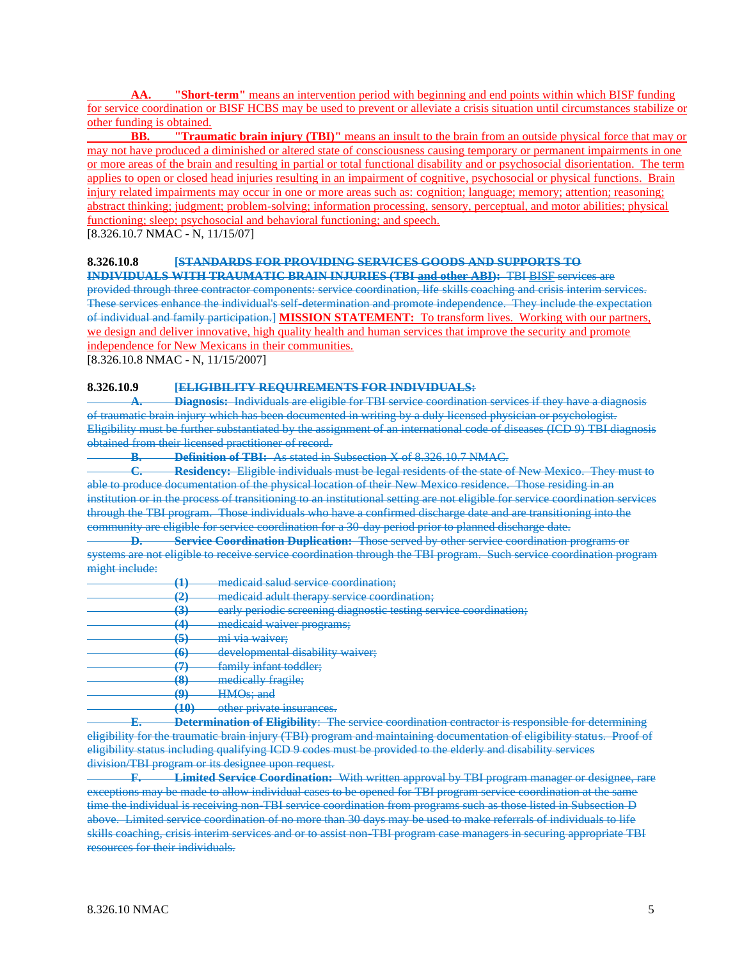**AA. "Short-term"** means an intervention period with beginning and end points within which BISF funding for service coordination or BISF HCBS may be used to prevent or alleviate a crisis situation until circumstances stabilize or other funding is obtained.

**BB. "Traumatic brain injury (TBI)"** means an insult to the brain from an outside physical force that may or may not have produced a diminished or altered state of consciousness causing temporary or permanent impairments in one or more areas of the brain and resulting in partial or total functional disability and or psychosocial disorientation. The term applies to open or closed head injuries resulting in an impairment of cognitive, psychosocial or physical functions. Brain injury related impairments may occur in one or more areas such as: cognition; language; memory; attention; reasoning; abstract thinking; judgment; problem-solving; information processing, sensory, perceptual, and motor abilities; physical functioning; sleep; psychosocial and behavioral functioning; and speech.

[8.326.10.7 NMAC - N, 11/15/07]

### **8.326.10.8 [STANDARDS FOR PROVIDING SERVICES GOODS AND SUPPORTS TO**

**INDIVIDUALS WITH TRAUMATIC BRAIN INJURIES (TBI and other ABI):** TBI BISF services are provided through three contractor components: service coordination, life skills coaching and crisis interim services. These services enhance the individual's self-determination and promote independence. They include the expectation of individual and family participation.] **MISSION STATEMENT:** To transform lives. Working with our partners, we design and deliver innovative, high quality health and human services that improve the security and promote independence for New Mexicans in their communities.

[8.326.10.8 NMAC - N, 11/15/2007]

## **8.326.10.9 [ELIGIBILITY REQUIREMENTS FOR INDIVIDUALS:**

**Diagnosis:** Individuals are eligible for TBI service coordination services if they have a diagnosis of traumatic brain injury which has been documented in writing by a duly licensed physician or psychologist. Eligibility must be further substantiated by the assignment of an international code of diseases (ICD 9) TBI diagnosis obtained from their licensed practitioner of record.

**B. Definition of TBI:** As stated in Subsection X of 8.326.10.7 NMAC.

**C. Residency:** Eligible individuals must be legal residents of the state of New Mexico. They must to able to produce documentation of the physical location of their New Mexico residence. Those residing in an institution or in the process of transitioning to an institutional setting are not eligible for service coordination services through the TBI program. Those individuals who have a confirmed discharge date and are transitioning into the community are eligible for service coordination for a 30-day period prior to planned discharge date.

**D. Service Coordination Duplication:** Those served by other service coordination programs or systems are not eligible to receive service coordination through the TBI program. Such service coordination program might include:

- **(1)** medicaid salud service coordination;
- **(2)** medicaid adult therapy service coordination;
- **(3)** early periodic screening diagnostic testing service coordination;
- **(4)** medicaid waiver programs;
- **(5)** mi via waiver;
- **(6)** developmental disability waiver;
- **(7)** family infant toddler;
- **(8)** medically fragile;
- **(9)** HMOs; and
- **(10)** other private insurances.

**E. Determination of Eligibility**: The service coordination contractor is responsible for determining eligibility for the traumatic brain injury (TBI) program and maintaining documentation of eligibility status. Proof of eligibility status including qualifying ICD 9 codes must be provided to the elderly and disability services division/TBI program or its designee upon request.

**F. Limited Service Coordination:** With written approval by TBI program manager or designee, rare exceptions may be made to allow individual cases to be opened for TBI program service coordination at the same time the individual is receiving non-TBI service coordination from programs such as those listed in Subsection D above. Limited service coordination of no more than 30 days may be used to make referrals of individuals to life skills coaching, crisis interim services and or to assist non-TBI program case managers in securing appropriate TBI resources for their individuals.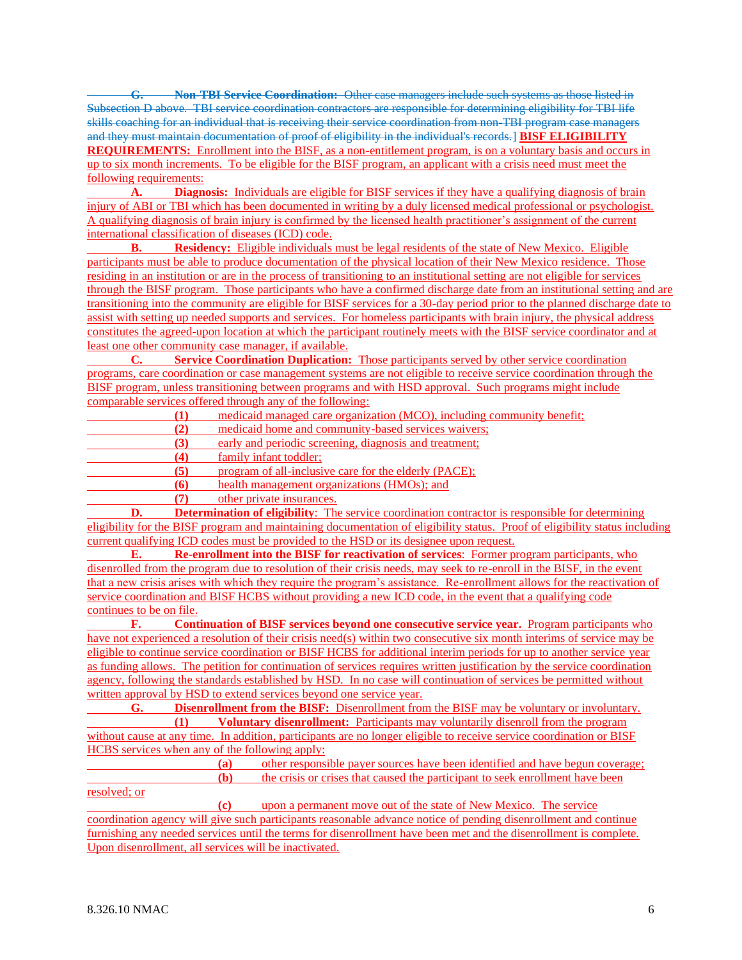**G. Non-TBI Service Coordination:** Other case managers include such systems as those listed in Subsection D above. TBI service coordination contractors are responsible for determining eligibility for TBI life skills coaching for an individual that is receiving their service coordination from non-TBI program case managers and they must maintain documentation of proof of eligibility in the individual's records.] **BISF ELIGIBILITY REQUIREMENTS:** Enrollment into the BISF, as a non-entitlement program, is on a voluntary basis and occurs in up to six month increments. To be eligible for the BISF program, an applicant with a crisis need must meet the following requirements:<br>A. Diagno

**Diagnosis:** Individuals are eligible for BISF services if they have a qualifying diagnosis of brain injury of ABI or TBI which has been documented in writing by a duly licensed medical professional or psychologist. A qualifying diagnosis of brain injury is confirmed by the licensed health practitioner's assignment of the current international classification of diseases (ICD) code.

**B. Residency:** Eligible individuals must be legal residents of the state of New Mexico. Eligible participants must be able to produce documentation of the physical location of their New Mexico residence. Those residing in an institution or are in the process of transitioning to an institutional setting are not eligible for services through the BISF program. Those participants who have a confirmed discharge date from an institutional setting and are transitioning into the community are eligible for BISF services for a 30-day period prior to the planned discharge date to assist with setting up needed supports and services. For homeless participants with brain injury, the physical address constitutes the agreed-upon location at which the participant routinely meets with the BISF service coordinator and at least one other community case manager, if available.

**C. Service Coordination Duplication:** Those participants served by other service coordination programs, care coordination or case management systems are not eligible to receive service coordination through the BISF program, unless transitioning between programs and with HSD approval. Such programs might include comparable services offered through any of the following:

**(1)** medicaid managed care organization (MCO), including community benefit; **(2)** medicaid home and community-based services waivers; **(3)** early and periodic screening, diagnosis and treatment;

**(4)** family infant toddler;

**(5)** program of all-inclusive care for the elderly (PACE);

**(6)** health management organizations (HMOs); and

**(7)** other private insurances.

**D. Determination of eligibility**: The service coordination contractor is responsible for determining eligibility for the BISF program and maintaining documentation of eligibility status. Proof of eligibility status including current qualifying ICD codes must be provided to the HSD or its designee upon request.

**E. Re-enrollment into the BISF for reactivation of services**: Former program participants, who disenrolled from the program due to resolution of their crisis needs, may seek to re-enroll in the BISF, in the event that a new crisis arises with which they require the program's assistance. Re-enrollment allows for the reactivation of service coordination and BISF HCBS without providing a new ICD code, in the event that a qualifying code continues to be on file.

**F. Continuation of BISF services beyond one consecutive service year.** Program participants who have not experienced a resolution of their crisis need(s) within two consecutive six month interims of service may be eligible to continue service coordination or BISF HCBS for additional interim periods for up to another service year as funding allows. The petition for continuation of services requires written justification by the service coordination agency, following the standards established by HSD. In no case will continuation of services be permitted without written approval by HSD to extend services beyond one service year.

**G. Disenrollment from the BISF:** Disenrollment from the BISF may be voluntary or involuntary. **(1) Voluntary disenrollment:** Participants may voluntarily disenroll from the program without cause at any time. In addition, participants are no longer eligible to receive service coordination or BISF HCBS services when any of the following apply:

**(a)** other responsible payer sources have been identified and have begun coverage; **(b)** the crisis or crises that caused the participant to seek enrollment have been

resolved; or

**(c)** upon a permanent move out of the state of New Mexico. The service coordination agency will give such participants reasonable advance notice of pending disenrollment and continue furnishing any needed services until the terms for disenrollment have been met and the disenrollment is complete. Upon disenrollment, all services will be inactivated.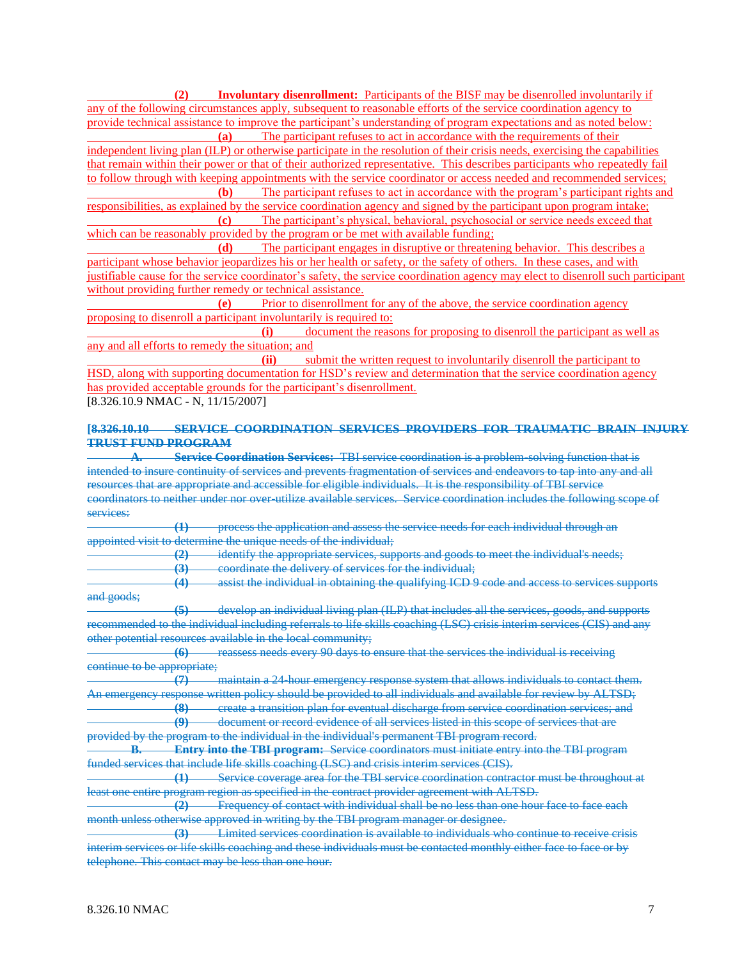**(2) Involuntary disenrollment:** Participants of the BISF may be disenrolled involuntarily if any of the following circumstances apply, subsequent to reasonable efforts of the service coordination agency to provide technical assistance to improve the participant's understanding of program expectations and as noted below:

**(a)** The participant refuses to act in accordance with the requirements of their independent living plan (ILP) or otherwise participate in the resolution of their crisis needs, exercising the capabilities that remain within their power or that of their authorized representative. This describes participants who repeatedly fail to follow through with keeping appointments with the service coordinator or access needed and recommended services;

**(b)** The participant refuses to act in accordance with the program's participant rights and responsibilities, as explained by the service coordination agency and signed by the participant upon program intake; **(c)** The participant's physical, behavioral, psychosocial or service needs exceed that

which can be reasonably provided by the program or be met with available funding;

**(d)** The participant engages in disruptive or threatening behavior. This describes a participant whose behavior jeopardizes his or her health or safety, or the safety of others. In these cases, and with justifiable cause for the service coordinator's safety, the service coordination agency may elect to disenroll such participant without providing further remedy or technical assistance.

**(e)** Prior to disenrollment for any of the above, the service coordination agency proposing to disenroll a participant involuntarily is required to:

**(i)** document the reasons for proposing to disenroll the participant as well as any and all efforts to remedy the situation; and

**(ii)** submit the written request to involuntarily disenroll the participant to HSD, along with supporting documentation for HSD's review and determination that the service coordination agency has provided acceptable grounds for the participant's disenrollment.

[8.326.10.9 NMAC - N, 11/15/2007]

## **[8.326.10.10 SERVICE COORDINATION SERVICES PROVIDERS FOR TRAUMATIC BRAIN INJURY TRUST FUND PROGRAM**

**A. Service Coordination Services:** TBI service coordination is a problem-solving function that is intended to insure continuity of services and prevents fragmentation of services and endeavors to tap into any and all resources that are appropriate and accessible for eligible individuals. It is the responsibility of TBI service coordinators to neither under nor over-utilize available services. Service coordination includes the following scope of services:

**(1)** process the application and assess the service needs for each individual through an appointed visit to determine the unique needs of the individual;

**(2)** identify the appropriate services, supports and goods to meet the individual's needs;

**(3)** coordinate the delivery of services for the individual;

**(4)** assist the individual in obtaining the qualifying ICD 9 code and access to services supports and goods;

**(5)** develop an individual living plan (ILP) that includes all the services, goods, and supports recommended to the individual including referrals to life skills coaching (LSC) crisis interim services (CIS) and any other potential resources available in the local community;

**(6)** reassess needs every 90 days to ensure that the services the individual is receiving continue to be appropriate;<br>
(7)

**(7)** maintain a 24-hour emergency response system that allows individuals to contact them. An emergency response written policy should be provided to all individuals and available for review by ALTSD;

**(8)** create a transition plan for eventual discharge from service coordination services; and **(9)** document or record evidence of all services listed in this scope of services that are

provided by the program to the individual in the individual's permanent TBI program record.

**B. Entry into the TBI program:** Service coordinators must initiate entry into the TBI program funded services that include life skills coaching (LSC) and crisis interim services (CIS).

**(1)** Service coverage area for the TBI service coordination contractor must be throughout at least one entire program region as specified in the contract provider agreement with ALTSD.

**(2)** Frequency of contact with individual shall be no less than one hour face to face each month unless otherwise approved in writing by the TBI program manager or designee.

**(3)** Limited services coordination is available to individuals who continue to receive crisis interim services or life skills coaching and these individuals must be contacted monthly either face to face or by telephone. This contact may be less than one hour.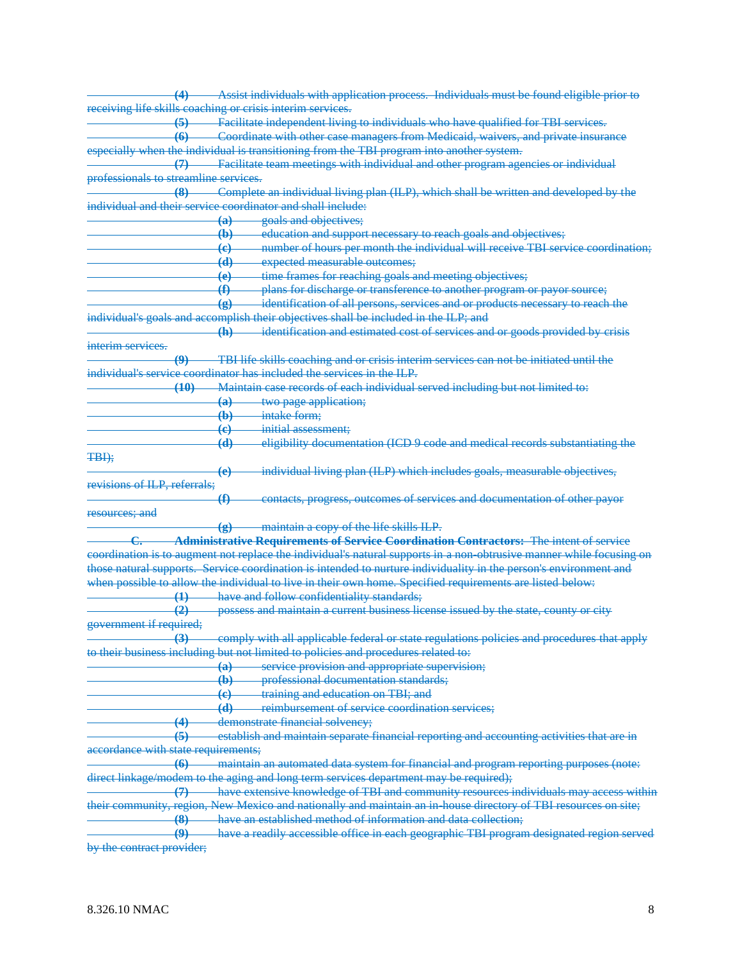| $\left(4\right)$                      |             | - Assist individuals with application process. Individuals must be found eligible prior to                           |
|---------------------------------------|-------------|----------------------------------------------------------------------------------------------------------------------|
|                                       |             | receiving life skills coaching or crisis interim services.                                                           |
| $\left(5\right)$                      |             | Facilitate independent living to individuals who have qualified for TBI services.                                    |
| $\left( 6 \right)$                    |             | Coordinate with other case managers from Medicaid, waivers, and private insurance                                    |
|                                       |             | especially when the individual is transitioning from the TBI program into another system.                            |
|                                       |             | - Facilitate team meetings with individual and other program agencies or individual                                  |
| professionals to streamline services. |             |                                                                                                                      |
| $-$ (8)                               |             | Complete an individual living plan (ILP), which shall be written and developed by the                                |
|                                       |             | individual and their service coordinator and shall include:                                                          |
|                                       |             | goals and objectives;<br>$\overline{a}$                                                                              |
|                                       |             | education and support necessary to reach goals and objectives;<br>$\leftrightarrow$                                  |
|                                       |             | number of hours per month the individual will receive TBI service coordination;<br>$\left( \mathrm{e} \right)$       |
|                                       |             | expected measurable outcomes;<br>$\overline{d}$                                                                      |
|                                       |             | time frames for reaching goals and meeting objectives;<br>$\left( \mathbf{e} \right)$                                |
|                                       | $\bigoplus$ | plans for discharge or transference to another program or payor source;                                              |
|                                       |             | identification of all persons, services and or products necessary to reach the<br>$\circledast$                      |
|                                       |             | individual's goals and accomplish their objectives shall be included in the ILP; and                                 |
|                                       |             | identification and estimated cost of services and or goods provided by crisis<br>$\left( \mathbf{h} \right)$         |
| interim services                      |             |                                                                                                                      |
|                                       |             | TBI life skills coaching and or crisis interim services can not be initiated until the                               |
|                                       |             | individual's service coordinator has included the services in the ILP.                                               |
|                                       | (10)        | Maintain case records of each individual served including but not limited to:                                        |
|                                       |             | two page application;<br>$\overline{a}$                                                                              |
|                                       |             | intake form;<br>$\bigoplus$                                                                                          |
|                                       |             | initial assessment;<br>$\left( \mathbf{e} \right)$                                                                   |
|                                       |             | eligibility documentation (ICD 9 code and medical records substantiating the<br>$\left(\mathbf{d}\right)$            |
| TBI);                                 |             |                                                                                                                      |
|                                       |             | individual living plan (ILP) which includes goals, measurable objectives,<br>$\left( \mathbf{e} \right)$             |
| revisions of ILP, referrals;          |             |                                                                                                                      |
|                                       | $\bigoplus$ | contacts, progress, outcomes of services and documentation of other payor                                            |
| resources; and                        |             |                                                                                                                      |
|                                       |             | -maintain a copy of the life skills ILP.<br>$\left( \bf g \right)$                                                   |
|                                       |             | <b>Administrative Requirements of Service Coordination Contractors:</b> The intent of service                        |
|                                       |             | coordination is to augment not replace the individual's natural supports in a non-obtrusive manner while focusing on |
|                                       |             | those natural supports. Service coordination is intended to nurture individuality in the person's environment and    |
|                                       |             | when possible to allow the individual to live in their own home. Specified requirements are listed below:            |
|                                       |             | (1) have and follow confidentiality standards;                                                                       |
| $\left( 2 \right)$                    |             | possess and maintain a current business license issued by the state, county or city                                  |
| government if required;               |             |                                                                                                                      |
| $\left(3\right)$                      |             | comply with all applicable federal or state regulations policies and procedures that apply                           |
|                                       |             | to their business including but not limited to policies and procedures related to:                                   |
|                                       |             | $\left(\mathrm{a}\right)$                                                                                            |
|                                       |             | service provision and appropriate supervision;<br>professional documentation standards;<br>$\bigoplus$               |
|                                       |             | training and education on TBI; and                                                                                   |
|                                       |             | $\left(\mathbf{e}\right)$<br>$\overline{d}$<br>reimbursement of service coordination services;                       |
|                                       |             | demonstrate financial solvency;                                                                                      |
| $\overline{4}$<br>(5)                 |             |                                                                                                                      |
|                                       |             | establish and maintain separate financial reporting and accounting activities that are in                            |
| accordance with state requirements;   |             |                                                                                                                      |
| $\overline{\mathbf{6}}$               |             | maintain an automated data system for financial and program reporting purposes (note:                                |
|                                       |             | direct linkage/modem to the aging and long term services department may be required);                                |
| $\left(7\right)$                      |             | have extensive knowledge of TBI and community resources individuals may access within                                |
|                                       |             | their community, region, New Mexico and nationally and maintain an in house directory of TBI resources on site;      |
| (8)                                   |             | have an established method of information and data collection;                                                       |
| $\boldsymbol{\varphi}$                |             | have a readily accessible office in each geographic TBI program designated region served                             |
| by the contract provider;             |             |                                                                                                                      |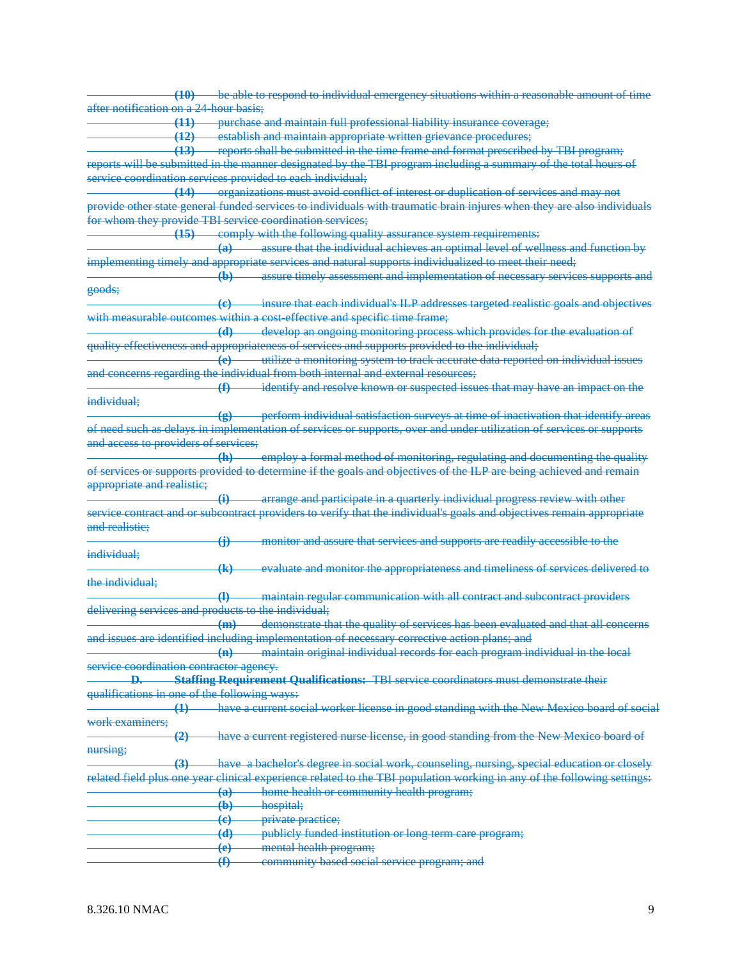|                                                     | (10) be able to respond to individual emergency situations within a reasonable amount of time                           |
|-----------------------------------------------------|-------------------------------------------------------------------------------------------------------------------------|
| after notification on a 24 hour basis;              |                                                                                                                         |
|                                                     |                                                                                                                         |
|                                                     | (11) purchase and maintain full professional liability insurance coverage;                                              |
|                                                     | (12) establish and maintain appropriate written grievance procedures;                                                   |
|                                                     | (13) reports shall be submitted in the time frame and format prescribed by TBI program;                                 |
|                                                     | reports will be submitted in the manner designated by the TBI program including a summary of the total hours of         |
|                                                     | service coordination services provided to each individual;                                                              |
|                                                     |                                                                                                                         |
|                                                     | (14) organizations must avoid conflict of interest or duplication of services and may not                               |
|                                                     | provide other state general funded services to individuals with traumatic brain injures when they are also individuals  |
|                                                     | for whom they provide TBI service coordination services;                                                                |
| $-15$                                               | comply with the following quality assurance system requirements:                                                        |
|                                                     | (a) assure that the individual achieves an optimal level of wellness and function by                                    |
|                                                     | implementing timely and appropriate services and natural supports individualized to meet their need;                    |
|                                                     |                                                                                                                         |
|                                                     | assure timely assessment and implementation of necessary services supports and<br>$\left( \mathbf{b}\right)$            |
| goods;                                              |                                                                                                                         |
|                                                     | (c) insure that each individual's ILP addresses targeted realistic goals and objectives                                 |
|                                                     | with measurable outcomes within a cost-effective and specific time frame;                                               |
|                                                     | (d) develop an ongoing monitoring process which provides for the evaluation of                                          |
|                                                     | quality effectiveness and appropriateness of services and supports provided to the individual;                          |
|                                                     | (e) utilize a monitoring system to track accurate data reported on individual issues                                    |
|                                                     |                                                                                                                         |
|                                                     | and concerns regarding the individual from both internal and external resources;                                        |
|                                                     | identify and resolve known or suspected issues that may have an impact on the<br>$\bigoplus$                            |
| individual;                                         |                                                                                                                         |
|                                                     | perform individual satisfaction surveys at time of inactivation that identify areas<br>$\left( \mathbf{g} \right)$      |
|                                                     | of need such as delays in implementation of services or supports, over and under utilization of services or supports    |
| and access to providers of services;                |                                                                                                                         |
|                                                     |                                                                                                                         |
|                                                     | employ a formal method of monitoring, regulating and documenting the quality<br>$-h$ )                                  |
|                                                     | of services or supports provided to determine if the goals and objectives of the ILP are being achieved and remain      |
| appropriate and realistic;                          |                                                                                                                         |
|                                                     |                                                                                                                         |
|                                                     |                                                                                                                         |
|                                                     | $\ddot{H}$<br>arrange and participate in a quarterly individual progress review with other                              |
|                                                     | service contract and or subcontract providers to verify that the individual's goals and objectives remain appropriate   |
|                                                     |                                                                                                                         |
| and realistie;                                      | monitor and assure that services and supports are readily accessible to the<br>$\bigoplus$                              |
| individual;                                         |                                                                                                                         |
|                                                     |                                                                                                                         |
|                                                     | evaluate and monitor the appropriateness and timeliness of services delivered to<br>$\overline{a}$                      |
| the individual;                                     |                                                                                                                         |
|                                                     | maintain regular communication with all contract and subcontract providers<br>$\overline{\mathbf{A}}$                   |
| delivering services and products to the individual; |                                                                                                                         |
|                                                     | demonstrate that the quality of services has been evaluated and that all concerns<br>$+m$                               |
|                                                     | and issues are identified including implementation of necessary corrective action plans; and                            |
|                                                     |                                                                                                                         |
|                                                     | maintain original individual records for each program individual in the local                                           |
| service coordination contractor agency.             |                                                                                                                         |
|                                                     | Staffing Requirement Qualifications: TBI service coordinators must demonstrate their                                    |
| qualifications in one of the following ways:        |                                                                                                                         |
| $\overline{4}$                                      | have a current social worker license in good standing with the New Mexico board of social                               |
| work examiners:                                     |                                                                                                                         |
|                                                     |                                                                                                                         |
| $\left( 2\right)$                                   | have a current registered nurse license, in good standing from the New Mexico board of                                  |
| nursing;                                            |                                                                                                                         |
| (3)                                                 | have a bachelor's degree in social work, counseling, nursing, special education or closely                              |
|                                                     | related field plus one year clinical experience related to the TBI population working in any of the following settings: |
|                                                     | home health or community health program;<br>$\left( a\right)$                                                           |
|                                                     | $\bigoplus$<br>hospital;                                                                                                |
|                                                     |                                                                                                                         |
|                                                     | $\left(\mathbf{e}\right)$<br>private practice;                                                                          |
|                                                     | publicly funded institution or long term care program;<br>$\overline{d}$                                                |
|                                                     | mental health program;<br>$\left(\mathbf{e}\right)$<br>community based social service program; and<br>$\bigoplus$       |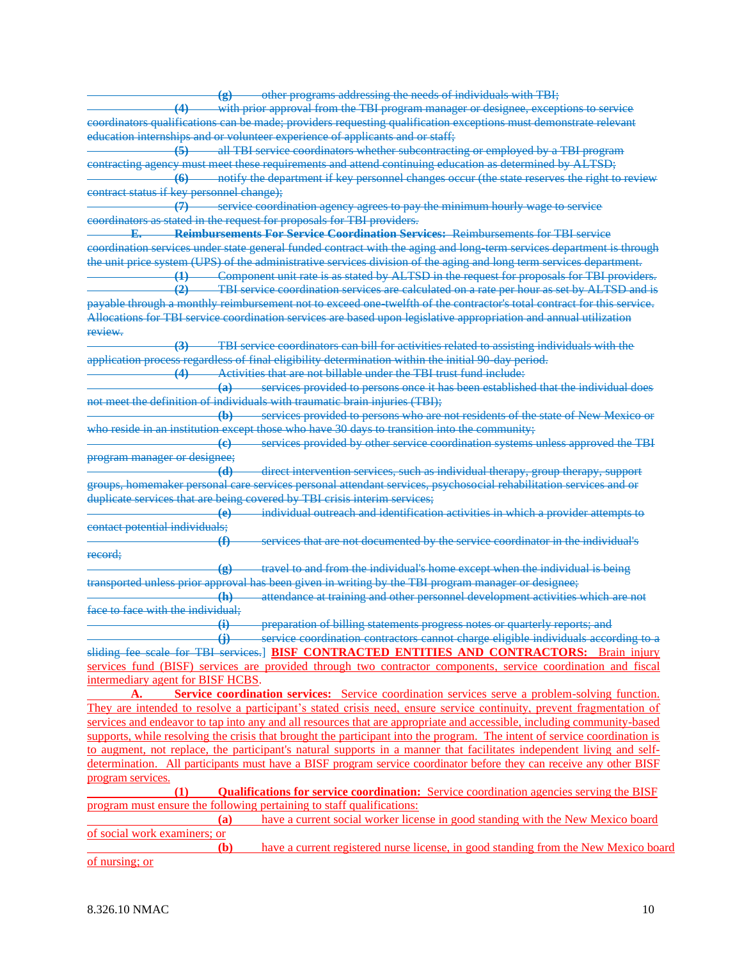|                                           |                             | (g) other programs addressing the needs of individuals with TBI;                                                                                                                                                                             |
|-------------------------------------------|-----------------------------|----------------------------------------------------------------------------------------------------------------------------------------------------------------------------------------------------------------------------------------------|
|                                           |                             | (4) with prior approval from the TBI program manager or designee, exceptions to service                                                                                                                                                      |
|                                           |                             | coordinators qualifications can be made; providers requesting qualification exceptions must demonstrate relevant                                                                                                                             |
|                                           |                             | education internships and or volunteer experience of applicants and or staff;                                                                                                                                                                |
| $\left(5\right)$                          |                             | all TBI service coordinators whether subcontracting or employed by a TBI program                                                                                                                                                             |
|                                           |                             | contracting agency must meet these requirements and attend continuing education as determined by ALTSD;                                                                                                                                      |
| (6)                                       |                             | notify the department if key personnel changes occur (the state reserves the right to review                                                                                                                                                 |
| contract status if key personnel change); |                             |                                                                                                                                                                                                                                              |
| $\left(7\right)$                          |                             | service coordination agency agrees to pay the minimum hourly wage to service                                                                                                                                                                 |
|                                           |                             | coordinators as stated in the request for proposals for TBI providers.                                                                                                                                                                       |
| F.                                        |                             | <b>Reimbursements For Service Coordination Services: Reimbursements for TBI service</b>                                                                                                                                                      |
|                                           |                             |                                                                                                                                                                                                                                              |
|                                           |                             | coordination services under state general funded contract with the aging and long term services department is through<br>the unit price system (UPS) of the administrative services division of the aging and long term services department. |
|                                           |                             |                                                                                                                                                                                                                                              |
|                                           |                             | (1) Component unit rate is as stated by ALTSD in the request for proposals for TBI providers.<br><b>TBI</b> service coordination services are calculated on a rate per hour as set by ALTSD and is                                           |
| (2)                                       |                             |                                                                                                                                                                                                                                              |
|                                           |                             | payable through a monthly reimbursement not to exceed one twelfth of the contractor's total contract for this service.                                                                                                                       |
|                                           |                             | Allocations for TBI service coordination services are based upon legislative appropriation and annual utilization                                                                                                                            |
| review.                                   |                             |                                                                                                                                                                                                                                              |
| $\left(3\right)$                          |                             | TBI service coordinators can bill for activities related to assisting individuals with the                                                                                                                                                   |
|                                           |                             | application process regardless of final eligibility determination within the initial 90 day period.                                                                                                                                          |
| (4)                                       |                             | Activities that are not billable under the TBI trust fund include:                                                                                                                                                                           |
|                                           | $\left( a\right)$           | services provided to persons once it has been established that the individual does                                                                                                                                                           |
|                                           |                             | not meet the definition of individuals with traumatic brain injuries (TBI);                                                                                                                                                                  |
|                                           | $\bigoplus$                 | services provided to persons who are not residents of the state of New Mexico or                                                                                                                                                             |
|                                           |                             | who reside in an institution except those who have 30 days to transition into the community;                                                                                                                                                 |
|                                           | $\left($ e $\right)$        | services provided by other service coordination systems unless approved the TBI                                                                                                                                                              |
| program manager or designee;              |                             |                                                                                                                                                                                                                                              |
|                                           | $\overline{d}$              | direct intervention services, such as individual therapy, group therapy, support                                                                                                                                                             |
|                                           |                             | groups, homemaker personal care services personal attendant services, psychosocial rehabilitation services and or                                                                                                                            |
|                                           |                             | duplicate services that are being covered by TBI crisis interim services;                                                                                                                                                                    |
|                                           | $\left(\mathbf{e}\right)$   | individual outreach and identification activities in which a provider attempts to                                                                                                                                                            |
| contact potential individuals;            |                             |                                                                                                                                                                                                                                              |
|                                           | $\bigoplus$                 | services that are not documented by the service coordinator in the individual's                                                                                                                                                              |
| record;                                   |                             |                                                                                                                                                                                                                                              |
|                                           | $\circledast$               | travel to and from the individual's home except when the individual is being                                                                                                                                                                 |
|                                           |                             | transported unless prior approval has been given in writing by the TBI program manager or designee;                                                                                                                                          |
|                                           | $\left( \mathbf{h} \right)$ | attendance at training and other personnel development activities which are not                                                                                                                                                              |
| face to face with the individual;         |                             |                                                                                                                                                                                                                                              |
|                                           | $\ddot{a}$                  | preparation of billing statements progress notes or quarterly reports; and                                                                                                                                                                   |
|                                           |                             | (j) service coordination contractors cannot charge eligible individuals according to a                                                                                                                                                       |
|                                           |                             | sliding fee scale for TBI services.   BISF CONTRACTED ENTITIES AND CONTRACTORS: Brain injury                                                                                                                                                 |
|                                           |                             | services fund (BISF) services are provided through two contractor components, service coordination and fiscal                                                                                                                                |
| intermediary agent for BISF HCBS.         |                             |                                                                                                                                                                                                                                              |
| A.                                        |                             | <b>Service coordination services:</b> Service coordination services serve a problem-solving function.                                                                                                                                        |
|                                           |                             | They are intended to resolve a participant's stated crisis need, ensure service continuity, prevent fragmentation of                                                                                                                         |
|                                           |                             | services and endeavor to tap into any and all resources that are appropriate and accessible, including community-based                                                                                                                       |
|                                           |                             | supports, while resolving the crisis that brought the participant into the program. The intent of service coordination is                                                                                                                    |
|                                           |                             | to augment, not replace, the participant's natural supports in a manner that facilitates independent living and self-                                                                                                                        |
|                                           |                             | determination. All participants must have a BISF program service coordinator before they can receive any other BISF                                                                                                                          |
| program services.                         |                             |                                                                                                                                                                                                                                              |
| (1)                                       |                             | <b>Qualifications for service coordination:</b> Service coordination agencies serving the BISF                                                                                                                                               |
|                                           |                             | program must ensure the following pertaining to staff qualifications:                                                                                                                                                                        |
|                                           | (a)                         | have a current social worker license in good standing with the New Mexico board                                                                                                                                                              |
| of social work examiners; or              |                             |                                                                                                                                                                                                                                              |
|                                           | (b)                         | have a current registered nurse license, in good standing from the New Mexico board                                                                                                                                                          |
|                                           |                             |                                                                                                                                                                                                                                              |

of nursing; or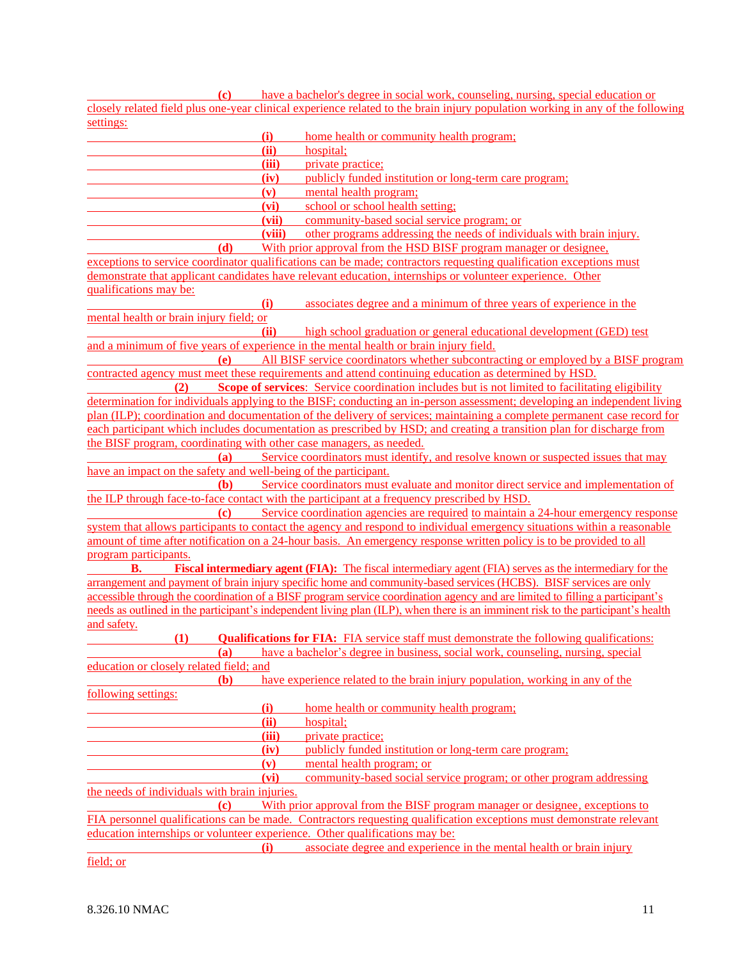**(c)** have a bachelor's degree in social work, counseling, nursing, special education or closely related field plus one-year clinical experience related to the brain injury population working in any of the following settings:

| <u>settings.</u>                                                            |        |                                                                                                                                  |
|-----------------------------------------------------------------------------|--------|----------------------------------------------------------------------------------------------------------------------------------|
|                                                                             | (i)    | home health or community health program;                                                                                         |
|                                                                             | (ii)   | hospital;                                                                                                                        |
|                                                                             | (iii)  | private practice;                                                                                                                |
|                                                                             | (iv)   | publicly funded institution or long-term care program;                                                                           |
|                                                                             | (v)    | mental health program;                                                                                                           |
|                                                                             | (vi)   | school or school health setting;                                                                                                 |
|                                                                             | (vii)  | community-based social service program; or                                                                                       |
|                                                                             | (viii) | other programs addressing the needs of individuals with brain injury.                                                            |
| (d)                                                                         |        | With prior approval from the HSD BISF program manager or designee,                                                               |
|                                                                             |        | exceptions to service coordinator qualifications can be made; contractors requesting qualification exceptions must               |
| qualifications may be:                                                      |        | demonstrate that applicant candidates have relevant education, internships or volunteer experience. Other                        |
|                                                                             | (i)    | associates degree and a minimum of three years of experience in the                                                              |
| mental health or brain injury field; or                                     |        |                                                                                                                                  |
|                                                                             | (ii)   | high school graduation or general educational development (GED) test                                                             |
|                                                                             |        | and a minimum of five years of experience in the mental health or brain injury field.                                            |
| (e)                                                                         |        | All BISF service coordinators whether subcontracting or employed by a BISF program                                               |
|                                                                             |        | contracted agency must meet these requirements and attend continuing education as determined by HSD.                             |
| (2)                                                                         |        | <b>Scope of services:</b> Service coordination includes but is not limited to facilitating eligibility                           |
|                                                                             |        | determination for individuals applying to the BISF; conducting an in-person assessment; developing an independent living         |
|                                                                             |        | plan (ILP); coordination and documentation of the delivery of services; maintaining a complete permanent case record for         |
|                                                                             |        | each participant which includes documentation as prescribed by HSD; and creating a transition plan for discharge from            |
| the BISF program, coordinating with other case managers, as needed.         |        |                                                                                                                                  |
| (a)                                                                         |        | Service coordinators must identify, and resolve known or suspected issues that may                                               |
| have an impact on the safety and well-being of the participant.             |        |                                                                                                                                  |
| (b)                                                                         |        | Service coordinators must evaluate and monitor direct service and implementation of                                              |
|                                                                             |        | the ILP through face-to-face contact with the participant at a frequency prescribed by HSD.                                      |
| $\left( \mathbf{c} \right)$                                                 |        | Service coordination agencies are required to maintain a 24-hour emergency response                                              |
|                                                                             |        | system that allows participants to contact the agency and respond to individual emergency situations within a reasonable         |
|                                                                             |        | amount of time after notification on a 24-hour basis. An emergency response written policy is to be provided to all              |
| program participants.                                                       |        |                                                                                                                                  |
| <b>B.</b>                                                                   |        | <b>Fiscal intermediary agent (FIA):</b> The fiscal intermediary agent (FIA) serves as the intermediary for the                   |
|                                                                             |        | arrangement and payment of brain injury specific home and community-based services (HCBS). BISF services are only                |
|                                                                             |        | accessible through the coordination of a BISF program service coordination agency and are limited to filling a participant's     |
|                                                                             |        | needs as outlined in the participant's independent living plan (ILP), when there is an imminent risk to the participant's health |
| and safety.                                                                 |        |                                                                                                                                  |
| <b>(1)</b>                                                                  |        | <b>Qualifications for FIA:</b> FIA service staff must demonstrate the following qualifications:                                  |
|                                                                             |        | (a) have a bachelor's degree in business, social work, counseling, nursing, special                                              |
| education or closely related field; and                                     |        | have experience related to the brain injury population, working in any of the                                                    |
| <b>(b)</b>                                                                  |        |                                                                                                                                  |
| <u>following settings:</u>                                                  | (i)    | home health or community health program;                                                                                         |
|                                                                             | (ii)   | hospital;                                                                                                                        |
|                                                                             | (iii)  | private practice;                                                                                                                |
|                                                                             | (iv)   | publicly funded institution or long-term care program;                                                                           |
|                                                                             | (v)    | mental health program; or                                                                                                        |
|                                                                             | (vi)   | community-based social service program; or other program addressing                                                              |
| the needs of individuals with brain injuries.                               |        |                                                                                                                                  |
| $\left( \mathbf{c} \right)$                                                 |        | With prior approval from the BISF program manager or designee, exceptions to                                                     |
|                                                                             |        | FIA personnel qualifications can be made. Contractors requesting qualification exceptions must demonstrate relevant              |
| education internships or volunteer experience. Other qualifications may be: |        |                                                                                                                                  |
|                                                                             | (i)    | associate degree and experience in the mental health or brain injury                                                             |
| field; or                                                                   |        |                                                                                                                                  |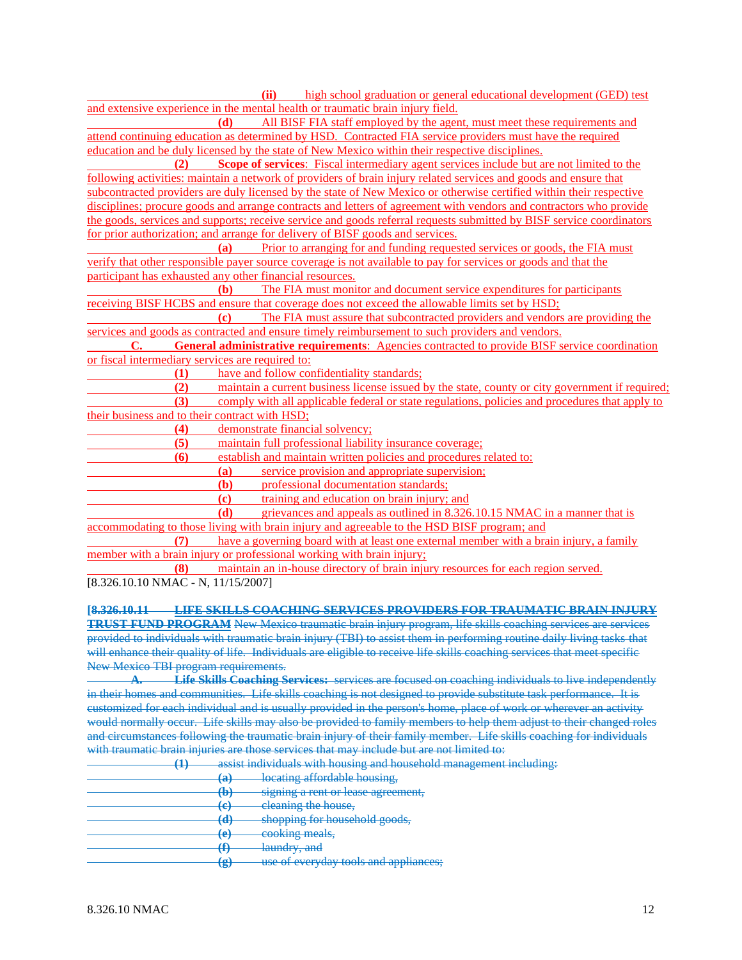|                                                  | (ii) high school graduation or general educational development (GED) test                                                |
|--------------------------------------------------|--------------------------------------------------------------------------------------------------------------------------|
|                                                  | and extensive experience in the mental health or traumatic brain injury field.                                           |
|                                                  | (d) All BISF FIA staff employed by the agent, must meet these requirements and                                           |
|                                                  | attend continuing education as determined by HSD. Contracted FIA service providers must have the required                |
|                                                  | education and be duly licensed by the state of New Mexico within their respective disciplines.                           |
| (2)                                              | Scope of services: Fiscal intermediary agent services include but are not limited to the                                 |
|                                                  | following activities: maintain a network of providers of brain injury related services and goods and ensure that         |
|                                                  | subcontracted providers are duly licensed by the state of New Mexico or otherwise certified within their respective      |
|                                                  | disciplines; procure goods and arrange contracts and letters of agreement with vendors and contractors who provide       |
|                                                  | the goods, services and supports; receive service and goods referral requests submitted by BISF service coordinators     |
|                                                  | for prior authorization; and arrange for delivery of BISF goods and services.                                            |
|                                                  | Prior to arranging for and funding requested services or goods, the FIA must<br>(a)                                      |
|                                                  | verify that other responsible payer source coverage is not available to pay for services or goods and that the           |
|                                                  | participant has exhausted any other financial resources.                                                                 |
|                                                  | The FIA must monitor and document service expenditures for participants<br><b>(b)</b>                                    |
|                                                  | receiving BISF HCBS and ensure that coverage does not exceed the allowable limits set by HSD;                            |
|                                                  | The FIA must assure that subcontracted providers and vendors are providing the<br>$\left( \mathbf{c} \right)$            |
|                                                  | services and goods as contracted and ensure timely reimbursement to such providers and vendors.                          |
| C.                                               | <b>General administrative requirements:</b> Agencies contracted to provide BISF service coordination                     |
| or fiscal intermediary services are required to: |                                                                                                                          |
| (1)                                              | have and follow confidentiality standards;                                                                               |
| (2)                                              | maintain a current business license issued by the state, county or city government if required;                          |
| (3)                                              | comply with all applicable federal or state regulations, policies and procedures that apply to                           |
| their business and to their contract with HSD;   |                                                                                                                          |
| (4)                                              | demonstrate financial solvency;                                                                                          |
| (5)                                              | maintain full professional liability insurance coverage;                                                                 |
| (6)                                              | establish and maintain written policies and procedures related to:                                                       |
|                                                  | service provision and appropriate supervision;<br>(a)                                                                    |
|                                                  | professional documentation standards;<br>(b)                                                                             |
|                                                  | training and education on brain injury; and<br>(c)                                                                       |
|                                                  | (d)<br>grievances and appeals as outlined in 8.326.10.15 NMAC in a manner that is                                        |
|                                                  | accommodating to those living with brain injury and agreeable to the HSD BISF program; and                               |
| (7)                                              | have a governing board with at least one external member with a brain injury, a family                                   |
|                                                  | member with a brain injury or professional working with brain injury;                                                    |
| (8)                                              | maintain an in-house directory of brain injury resources for each region served.                                         |
| [8.326.10.10 NMAC - N, 11/15/2007]               |                                                                                                                          |
|                                                  |                                                                                                                          |
|                                                  | <u>[8.326.10.11 LIFE SKILLS COACHING SERVICES PROVIDERS FOR TRAUMATIC BRAIN INJURY</u>                                   |
|                                                  | <b>TRUST FUND PROGRAM</b> New Mexico traumatic brain injury program, life skills coaching services are services          |
|                                                  | provided to individuals with traumatic brain injury (TBI) to assist them in performing routine daily living tasks that   |
|                                                  | will enhance their quality of life. Individuals are eligible to receive life skills coaching services that meet specific |
| New Mexico TBI program requirements.             |                                                                                                                          |
|                                                  | A. Life Skills Coaching Services: services are focused on coaching individuals to live independently                     |

in their homes and communities. Life skills coaching is not designed to provide substitute task performance. It is customized for each individual and is usually provided in the person's home, place of work or wherever an activity would normally occur. Life skills may also be provided to family members to help them adjust to their changed roles and circumstances following the traumatic brain injury of their family member. Life skills coaching for individuals with traumatic brain injuries are those services that may include but are not limited to: ment including:

| - - |                                    | <u>acciet individua</u><br>c with houeing and household management<br>and blood in the contact of the state of the contract of the contract of the contract of |
|-----|------------------------------------|----------------------------------------------------------------------------------------------------------------------------------------------------------------|
|     | (ል)<br><b>TELET</b>                | locating affordable housing,                                                                                                                                   |
|     | ሔ<br>107                           | signing a rent or lease agreement.                                                                                                                             |
|     | $\left( \mathbf{v} \right)$<br>प्य | eleaning the house,                                                                                                                                            |
|     | る<br>ru j                          | shopping for household goods,                                                                                                                                  |
|     | (አ)<br>$\mathbf{\mathbf{C}}$       | cooking meals.                                                                                                                                                 |
|     | - 1                                | laundry and<br><del>iddiidi y, and</del>                                                                                                                       |
|     | (പ<br>5                            | use of everyday tools and appliances;                                                                                                                          |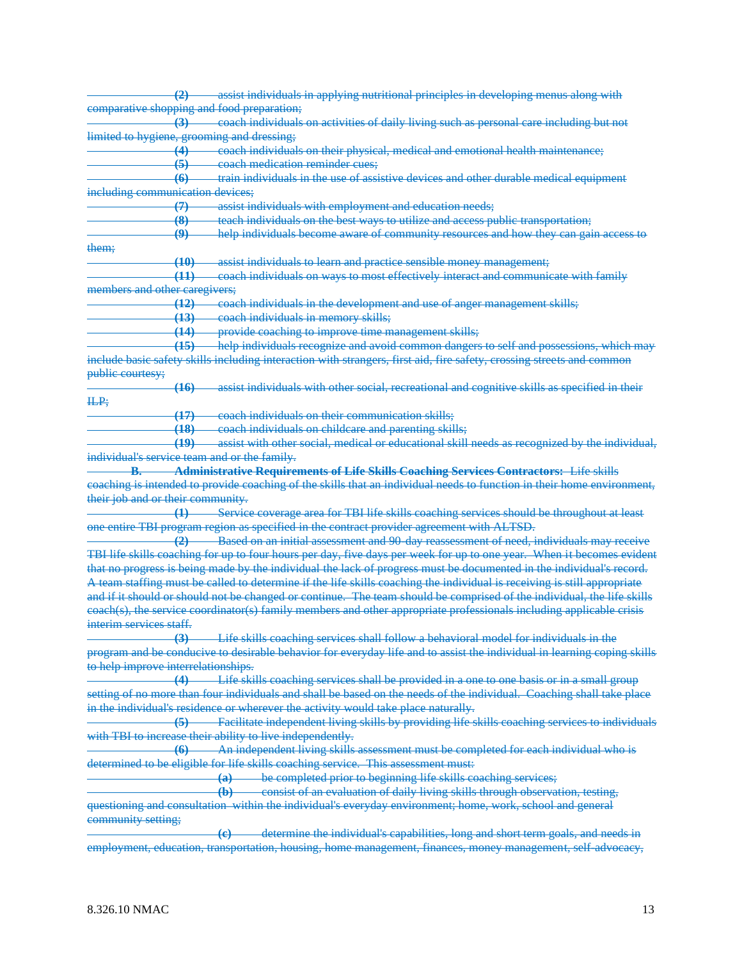**(2)** assist individuals in applying nutritional principles in developing menus along with comparative shopping and food preparation; **(3)** coach individuals on activities of daily living such as personal care including but not limited to hygiene, grooming and dressing; **(4)** coach individuals on their physical, medical and emotional health maintenance; **(5)** coach medication reminder cues; **(6)** train individuals in the use of assistive devices and other durable medical equipment including communication devices; **(7)** assist individuals with employment and education needs; **(8)** teach individuals on the best ways to utilize and access public transportation; **(9)** help individuals become aware of community resources and how they can gain access to them; **(10)** assist individuals to learn and practice sensible money management; **(11)** coach individuals on ways to most effectively interact and communicate with family members and other caregivers; **(12)** coach individuals in the development and use of anger management skills; **(13)** coach individuals in memory skills; **(14)** provide coaching to improve time management skills; **(15)** help individuals recognize and avoid common dangers to self and possessions, which may include basic safety skills including interaction with strangers, first aid, fire safety, crossing streets and common public courtesy; **(16)** assist individuals with other social, recreational and cognitive skills as specified in their ILP; **(17)** coach individuals on their communication skills; **(18)** coach individuals on childcare and parenting skills; **(19)** assist with other social, medical or educational skill needs as recognized by the individual, individual's service team and or the family. **B. Administrative Requirements of Life Skills Coaching Services Contractors:** Life skills coaching is intended to provide coaching of the skills that an individual needs to function in their home environment, their job and or their community. **(1)** Service coverage area for TBI life skills coaching services should be throughout at least one entire TBI program region as specified in the contract provider agreement with ALTSD. **(2)** Based on an initial assessment and 90-day reassessment of need, individuals may receive TBI life skills coaching for up to four hours per day, five days per week for up to one year. When it becomes evident that no progress is being made by the individual the lack of progress must be documented in the individual's record. A team staffing must be called to determine if the life skills coaching the individual is receiving is still appropriate and if it should or should not be changed or continue. The team should be comprised of the individual, the life skills coach(s), the service coordinator(s) family members and other appropriate professionals including applicable crisis interim services staff. **(3)** Life skills coaching services shall follow a behavioral model for individuals in the program and be conducive to desirable behavior for everyday life and to assist the individual in learning coping skills to help improve interrelationships. **(4)** Life skills coaching services shall be provided in a one to one basis or in a small group setting of no more than four individuals and shall be based on the needs of the individual. Coaching shall take place in the individual's residence or wherever the activity would take place naturally. **(5)** Facilitate independent living skills by providing life skills coaching services to individuals with TBI to increase their ability to live independently. **(6)** An independent living skills assessment must be completed for each individual who is determined to be eligible for life skills coaching service. This assessment must: **(a)** be completed prior to beginning life skills coaching services; **(b)** consist of an evaluation of daily living skills through observation, testing, questioning and consultation within the individual's everyday environment; home, work, school and general community setting; **(c)** determine the individual's capabilities, long and short term goals, and needs in employment, education, transportation, housing, home management, finances, money management, self-advocacy,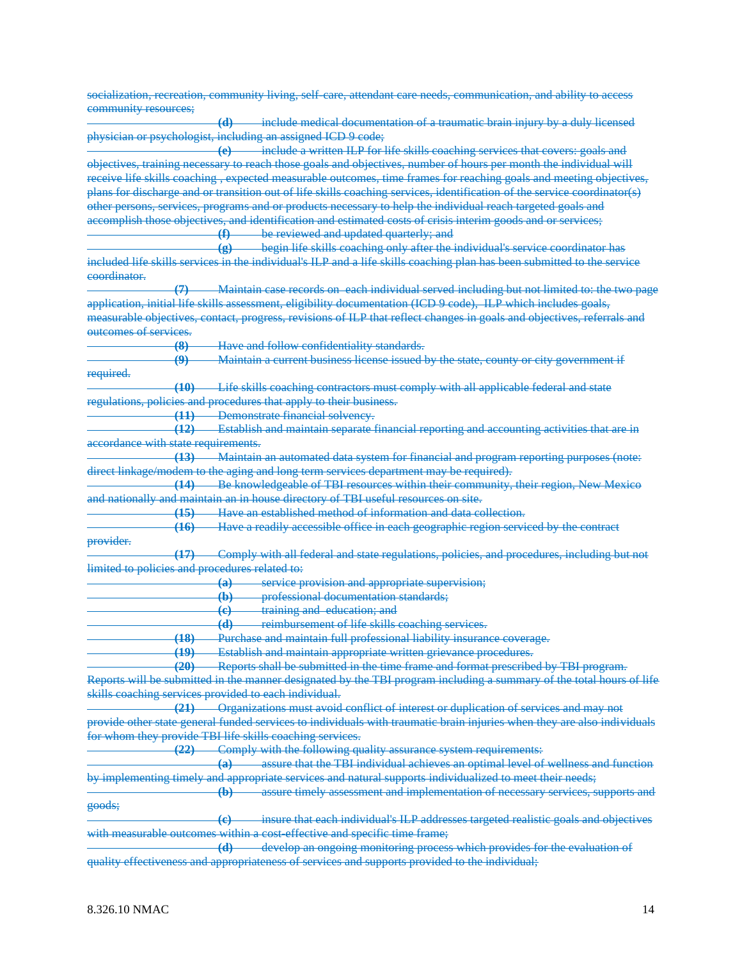socialization, recreation, community living, self-care, attendant care needs, communication, and ability to access community resources; **(d)** include medical documentation of a traumatic brain injury by a duly licensed physician or psychologist, including an assigned ICD 9 code; **(e)** include a written ILP for life skills coaching services that covers: goals and objectives, training necessary to reach those goals and objectives, number of hours per month the individual will receive life skills coaching , expected measurable outcomes, time frames for reaching goals and meeting objectives, plans for discharge and or transition out of life skills coaching services, identification of the service coordinator(s) other persons, services, programs and or products necessary to help the individual reach targeted goals and accomplish those objectives, and identification and estimated costs of crisis interim goods and or services; **(f)** be reviewed and updated quarterly; and **(g)** begin life skills coaching only after the individual's service coordinator has included life skills services in the individual's ILP and a life skills coaching plan has been submitted to the service coordinator. **(7)** Maintain case records on each individual served including but not limited to: the two page application, initial life skills assessment, eligibility documentation (ICD 9 code), ILP which includes goals, measurable objectives, contact, progress, revisions of ILP that reflect changes in goals and objectives, referrals and outcomes of services. **(8)** Have and follow confidentiality standards. **(9)** Maintain a current business license issued by the state, county or city government if required. **(10)** Life skills coaching contractors must comply with all applicable federal and state regulations, policies and procedures that apply to their business. **(11)** Demonstrate financial solvency. **(12)** Establish and maintain separate financial reporting and accounting activities that are in accordance with state requirements. **(13)** Maintain an automated data system for financial and program reporting purposes (note: direct linkage/modem to the aging and long term services department may be required). **(14)** Be knowledgeable of TBI resources within their community, their region, New Mexico and nationally and maintain an in house directory of TBI useful resources on site. **(15)** Have an established method of information and data collection. **(16)** Have a readily accessible office in each geographic region serviced by the contract provider. **(17)** Comply with all federal and state regulations, policies, and procedures, including but not limited to policies and procedures related to: **(a)** service provision and appropriate supervision; **(b)** professional documentation standards; **(c)** training and education; and **(d)** reimbursement of life skills coaching services. **(18)** Purchase and maintain full professional liability insurance coverage. **(19)** Establish and maintain appropriate written grievance procedures. **(20)** Reports shall be submitted in the time frame and format prescribed by TBI program. Reports will be submitted in the manner designated by the TBI program including a summary of the total hours of life skills coaching services provided to each individual. **(21)** Organizations must avoid conflict of interest or duplication of services and may not provide other state general funded services to individuals with traumatic brain injuries when they are also individuals for whom they provide TBI life skills coaching services. **(22)** Comply with the following quality assurance system requirements: **(a)** assure that the TBI individual achieves an optimal level of wellness and function by implementing timely and appropriate services and natural supports individualized to meet their needs; **(b)** assure timely assessment and implementation of necessary services, supports and goods; **(c)** insure that each individual's ILP addresses targeted realistic goals and objectives with measurable outcomes within a cost-effective and specific time frame; **(d)** develop an ongoing monitoring process which provides for the evaluation of quality effectiveness and appropriateness of services and supports provided to the individual;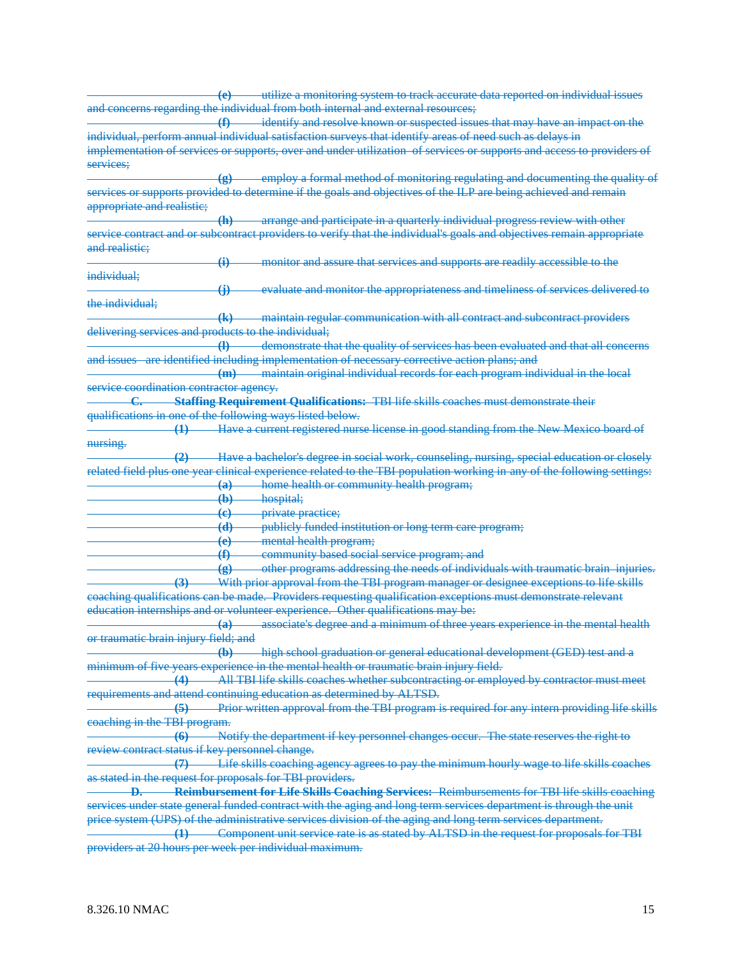| utilize a monitoring system to track accurate data reported on individual issues<br>$\left($ e $\right)$                |
|-------------------------------------------------------------------------------------------------------------------------|
| and concerns regarding the individual from both internal and external resources;                                        |
| $\bigoplus$<br>identify and resolve known or suspected issues that may have an impact on the                            |
| individual, perform annual individual satisfaction surveys that identify areas of need such as delays in                |
| implementation of services or supports, over and under utilization of services or supports and access to providers of   |
| services:                                                                                                               |
| employ a formal method of monitoring regulating and documenting the quality of                                          |
| $\left( 8 \right)$                                                                                                      |
| services or supports provided to determine if the goals and objectives of the ILP are being achieved and remain         |
| appropriate and realistic;                                                                                              |
| -arrange and participate in a quarterly individual progress review with other<br>(h)                                    |
| service contract and or subcontract providers to verify that the individual's goals and objectives remain appropriate   |
| and realistic;                                                                                                          |
| monitor and assure that services and supports are readily accessible to the<br>$\bigoplus$                              |
| individual;                                                                                                             |
| evaluate and monitor the appropriateness and timeliness of services delivered to<br>$\oplus$                            |
| the individual;                                                                                                         |
| maintain regular communication with all contract and subcontract providers<br>$\left( \mathbf{k}\right)$                |
| delivering services and products to the individual;                                                                     |
| demonstrate that the quality of services has been evaluated and that all concerns<br>$\bigoplus$                        |
| and issues are identified including implementation of necessary corrective action plans; and                            |
|                                                                                                                         |
| (m) maintain original individual records for each program individual in the local                                       |
| service coordination contractor agency.                                                                                 |
| Staffing Requirement Qualifications: TBI life skills coaches must demonstrate their<br>C.                               |
| qualifications in one of the following ways listed below.                                                               |
| (1) Have a current registered nurse license in good standing from the New Mexico board of                               |
| nursing.                                                                                                                |
| Have a bachelor's degree in social work, counseling, nursing, special education or closely<br>$\left( 2 \right)$        |
| related field plus one year clinical experience related to the TBI population working in any of the following settings: |
| home health or community health program;<br>$\left( a\right)$                                                           |
| $\bigoplus$<br>hospital;                                                                                                |
| <i><b>Private practice</b></i><br>$\left( \mathrm{e}\right)$                                                            |
| publicly funded institution or long term care program;<br>$\overline{d}$                                                |
| mental health program;<br>$\left( \mathbf{e} \right)$                                                                   |
| community based social service program; and<br>$\bigoplus$                                                              |
|                                                                                                                         |
| other programs addressing the needs of individuals with traumatic brain injuries.<br>$\circledast$                      |
| With prior approval from the TBI program manager or designee exceptions to life skills<br>$\left(3\right)$              |
| coaching qualifications can be made. Providers requesting qualification exceptions must demonstrate relevant            |
| education internships and or volunteer experience. Other qualifications may be:                                         |
| associate's degree and a minimum of three years experience in the mental health<br>(a)                                  |
| or traumatic brain injury field; and                                                                                    |
| high school graduation or general educational development (GED) test and a<br>$\left( \mathbf{b}\right)$                |
| minimum of five years experience in the mental health or traumatic brain injury field.                                  |
| All TBI life skills coaches whether subcontracting or employed by contractor must meet<br>(4)                           |
| requirements and attend continuing education as determined by ALTSD.                                                    |
| Prior written approval from the TBI program is required for any intern providing life skills<br>(5)                     |
| coaching in the TBI program.                                                                                            |
|                                                                                                                         |
| -Notify the department if key personnel changes occur. The state reserves the right to<br>$\left( 6 \right)$            |
| review contract status if key personnel change.                                                                         |
| Life skills coaching agency agrees to pay the minimum hourly wage to life skills coaches<br>$\left(7\right)$            |
| as stated in the request for proposals for TBI providers.                                                               |
| Reimbursement for Life Skills Coaching Services: Reimbursements for TBI life skills coaching                            |
| services under state general funded contract with the aging and long term services department is through the unit       |
| price system (UPS) of the administrative services division of the aging and long term services department.              |
| Component unit service rate is as stated by ALTSD in the request for proposals for TBI<br>(1)                           |
| providers at 20 hours per week per individual maximum.                                                                  |
|                                                                                                                         |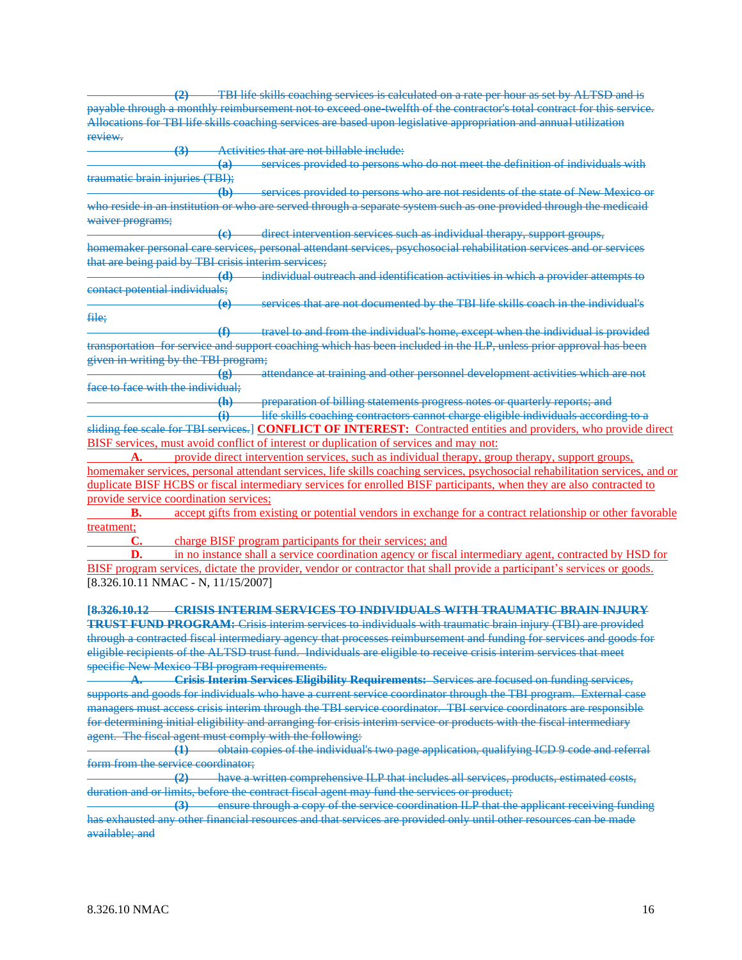**(2)** TBI life skills coaching services is calculated on a rate per hour as set by ALTSD and is payable through a monthly reimbursement not to exceed one-twelfth of the contractor's total contract for this service. Allocations for TBI life skills coaching services are based upon legislative appropriation and annual utilization review.

**(3)** Activities that are not billable include:

**(a)** services provided to persons who do not meet the definition of individuals with traumatic brain injuries (TBI);

**(b)** services provided to persons who are not residents of the state of New Mexico or who reside in an institution or who are served through a separate system such as one provided through the medicaid waiver programs;

**(c)** direct intervention services such as individual therapy, support groups, homemaker personal care services, personal attendant services, psychosocial rehabilitation services and or services that are being paid by TBI crisis interim services;

**(d)** individual outreach and identification activities in which a provider attempts to contact potential individuals;

**(e)** services that are not documented by the TBI life skills coach in the individual's file;

**(f)** travel to and from the individual's home, except when the individual is provided transportation for service and support coaching which has been included in the ILP, unless prior approval has been given in writing by the TBI program;

**(g)** attendance at training and other personnel development activities which are not face to face with the individual:

**(h)** preparation of billing statements progress notes or quarterly reports; and

**(i)** life skills coaching contractors cannot charge eligible individuals according to a sliding fee scale for TBI services.] **CONFLICT OF INTEREST:** Contracted entities and providers, who provide direct BISF services, must avoid conflict of interest or duplication of services and may not:

**A.** provide direct intervention services, such as individual therapy, group therapy, support groups, homemaker services, personal attendant services, life skills coaching services, psychosocial rehabilitation services, and or duplicate BISF HCBS or fiscal intermediary services for enrolled BISF participants, when they are also contracted to provide service coordination services;

**B.** accept gifts from existing or potential vendors in exchange for a contract relationship or other favorable treatment;

**C.** charge BISF program participants for their services; and

**D.** in no instance shall a service coordination agency or fiscal intermediary agent, contracted by HSD for BISF program services, dictate the provider, vendor or contractor that shall provide a participant's services or goods. [8.326.10.11 NMAC - N, 11/15/2007]

**[8.326.10.12 CRISIS INTERIM SERVICES TO INDIVIDUALS WITH TRAUMATIC BRAIN INJURY** 

**TRUST FUND PROGRAM:** Crisis interim services to individuals with traumatic brain injury (TBI) are provided through a contracted fiscal intermediary agency that processes reimbursement and funding for services and goods for eligible recipients of the ALTSD trust fund. Individuals are eligible to receive crisis interim services that meet specific New Mexico TBI program requirements.

**A. Crisis Interim Services Eligibility Requirements:** Services are focused on funding services, supports and goods for individuals who have a current service coordinator through the TBI program. External case managers must access crisis interim through the TBI service coordinator. TBI service coordinators are responsible for determining initial eligibility and arranging for crisis interim service or products with the fiscal intermediary agent. The fiscal agent must comply with the following:

**(1)** obtain copies of the individual's two page application, qualifying ICD 9 code and referral form from the service coordinator;

**(2)** have a written comprehensive ILP that includes all services, products, estimated costs, duration and or limits, before the contract fiscal agent may fund the services or product;

**(3)** ensure through a copy of the service coordination ILP that the applicant receiving funding has exhausted any other financial resources and that services are provided only until other resources can be made available; and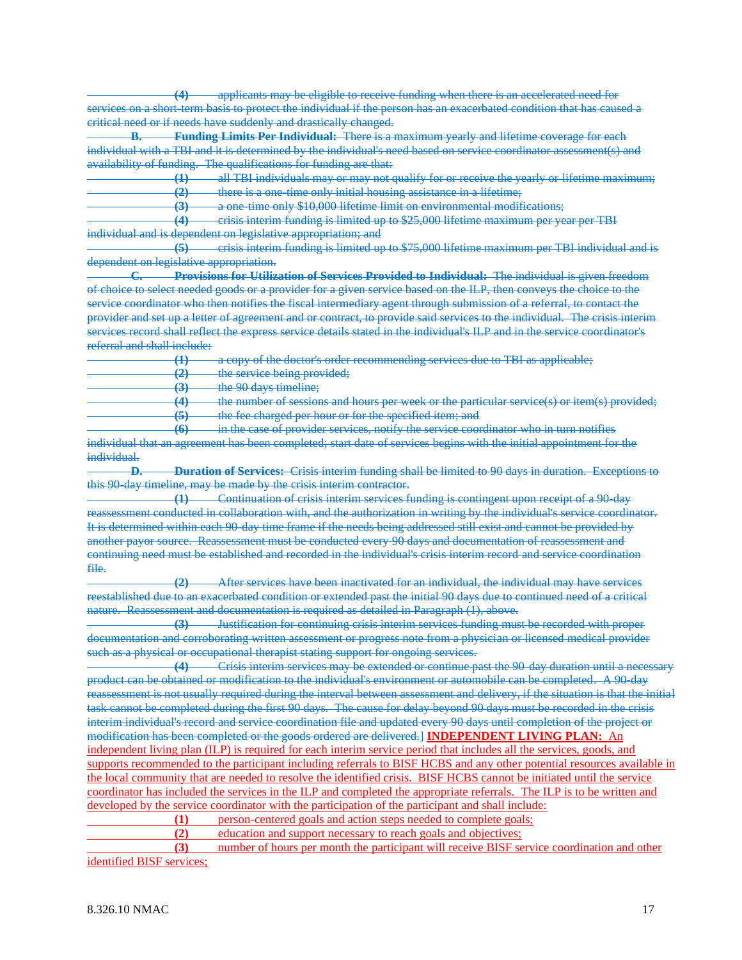**(4)** applicants may be eligible to receive funding when there is an accelerated need for services on a short-term basis to protect the individual if the person has an exacerbated condition that has caused a critical need or if needs have suddenly and drastically changed.

**B. Funding Limits Per Individual:** There is a maximum yearly and lifetime coverage for each individual with a TBI and it is determined by the individual's need based on service coordinator assessment(s) and availability of funding. The qualifications for funding are that:

**(1)** all TBI individuals may or may not qualify for or receive the yearly or lifetime maximum; **(2)** there is a one-time only initial housing assistance in a lifetime;

**(3)** a one-time only \$10,000 lifetime limit on environmental modifications;

**(4)** crisis interim funding is limited up to \$25,000 lifetime maximum per year per TBI individual and is dependent on legislative appropriation; and

**(5)** crisis interim funding is limited up to \$75,000 lifetime maximum per TBI individual and is dependent on legislative appropriation.

**C. Provisions for Utilization of Services Provided to Individual:** The individual is given freedom of choice to select needed goods or a provider for a given service based on the ILP, then conveys the choice to the service coordinator who then notifies the fiscal intermediary agent through submission of a referral, to contact the provider and set up a letter of agreement and or contract, to provide said services to the individual. The crisis interim services record shall reflect the express service details stated in the individual's ILP and in the service coordinator's referral and shall include:

**(1)** a copy of the doctor's order recommending services due to TBI as applicable;

**(2)** the service being provided;

**(3)** the 90 days timeline;

**(4)** the number of sessions and hours per week or the particular service(s) or item(s) provided; **(5)** the fee charged per hour or for the specified item; and

**(6)** in the case of provider services, notify the service coordinator who in turn notifies individual that an agreement has been completed; start date of services begins with the initial appointment for the individual.

**D. Duration of Services:** Crisis interim funding shall be limited to 90 days in duration. Exceptions to this 90-day timeline, may be made by the crisis interim contractor.

**(1)** Continuation of crisis interim services funding is contingent upon receipt of a 90-day reassessment conducted in collaboration with, and the authorization in writing by the individual's service coordinator. It is determined within each 90-day time frame if the needs being addressed still exist and cannot be provided by another payor source. Reassessment must be conducted every 90 days and documentation of reassessment and continuing need must be established and recorded in the individual's crisis interim record and service coordination file.

**(2)** After services have been inactivated for an individual, the individual may have services reestablished due to an exacerbated condition or extended past the initial 90 days due to continued need of a critical nature. Reassessment and documentation is required as detailed in Paragraph (1), above.

**(3)** Justification for continuing crisis interim services funding must be recorded with proper documentation and corroborating written assessment or progress note from a physician or licensed medical provider such as a physical or occupational therapist stating support for ongoing services.

**(4)** Crisis interim services may be extended or continue past the 90-day duration until a necessary product can be obtained or modification to the individual's environment or automobile can be completed. A 90-day reassessment is not usually required during the interval between assessment and delivery, if the situation is that the initial task cannot be completed during the first 90 days. The cause for delay beyond 90 days must be recorded in the crisis interim individual's record and service coordination file and updated every 90 days until completion of the project or modification has been completed or the goods ordered are delivered.] **INDEPENDENT LIVING PLAN:** An independent living plan (ILP) is required for each interim service period that includes all the services, goods, and supports recommended to the participant including referrals to BISF HCBS and any other potential resources available in the local community that are needed to resolve the identified crisis. BISF HCBS cannot be initiated until the service coordinator has included the services in the ILP and completed the appropriate referrals. The ILP is to be written and developed by the service coordinator with the participation of the participant and shall include:

**(1)** person-centered goals and action steps needed to complete goals;

**(2)** education and support necessary to reach goals and objectives;

**(3)** number of hours per month the participant will receive BISF service coordination and other identified BISF services;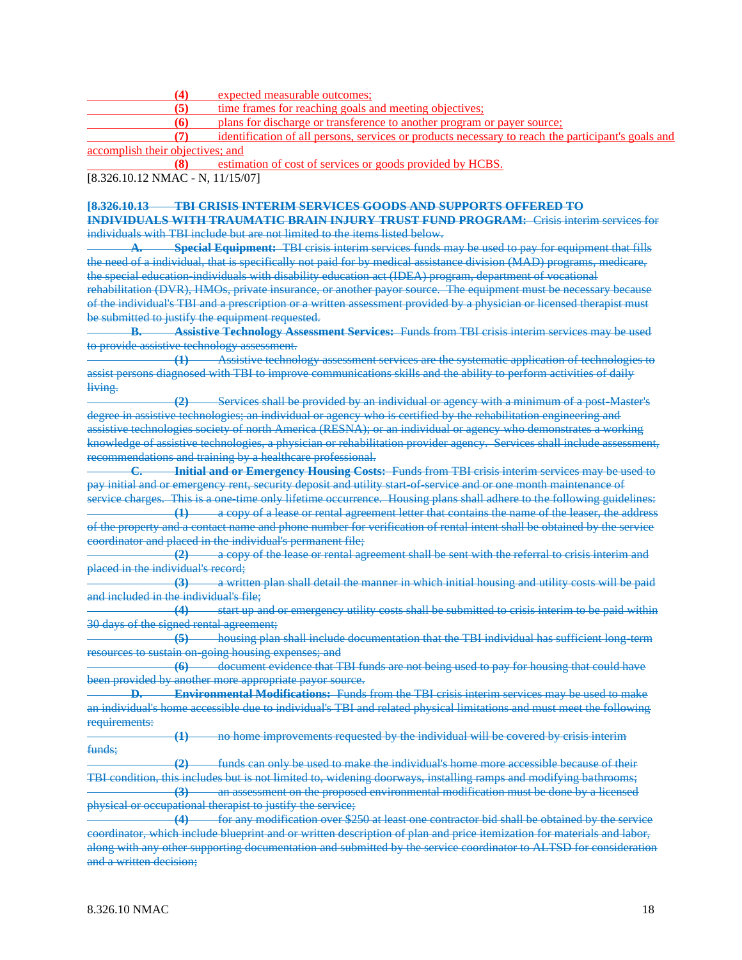**(4)** expected measurable outcomes;

**(5)** time frames for reaching goals and meeting objectives;

**(6)** plans for discharge or transference to another program or payer source;

**(7)** identification of all persons, services or products necessary to reach the participant's goals and accomplish their objectives; and

**(8)** estimation of cost of services or goods provided by HCBS.

[8.326.10.12 NMAC - N, 11/15/07]

# **[8.326.10.13 TBI CRISIS INTERIM SERVICES GOODS AND SUPPORTS OFFERED TO INDIVIDUALS WITH TRAUMATIC BRAIN INJURY TRUST FUND PROGRAM:** Crisis interim services for

individuals with TBI include but are not limited to the items listed below.

**Special Equipment:** TBI crisis interim services funds may be used to pay for equipment that fills the need of a individual, that is specifically not paid for by medical assistance division (MAD) programs, medicare, the special education-individuals with disability education act (IDEA) program, department of vocational rehabilitation (DVR), HMOs, private insurance, or another payor source. The equipment must be necessary because of the individual's TBI and a prescription or a written assessment provided by a physician or licensed therapist must be submitted to justify the equipment requested.

**B. Assistive Technology Assessment Services:** Funds from TBI crisis interim services may be used to provide assistive technology assessment.

**(1)** Assistive technology assessment services are the systematic application of technologies to assist persons diagnosed with TBI to improve communications skills and the ability to perform activities of daily living.

**(2)** Services shall be provided by an individual or agency with a minimum of a post-Master's degree in assistive technologies; an individual or agency who is certified by the rehabilitation engineering and assistive technologies society of north America (RESNA); or an individual or agency who demonstrates a working knowledge of assistive technologies, a physician or rehabilitation provider agency. Services shall include assessment, recommendations and training by a healthcare professional.

**C. Initial and or Emergency Housing Costs:** Funds from TBI crisis interim services may be used to pay initial and or emergency rent, security deposit and utility start-of-service and or one month maintenance of

service charges. This is a one-time only lifetime occurrence. Housing plans shall adhere to the following guidelines: **(1)** a copy of a lease or rental agreement letter that contains the name of the leaser, the address of the property and a contact name and phone number for verification of rental intent shall be obtained by the service coordinator and placed in the individual's permanent file;

**(2)** a copy of the lease or rental agreement shall be sent with the referral to crisis interim and placed in the individual's record;

**(3)** a written plan shall detail the manner in which initial housing and utility costs will be paid and included in the individual's file;

**(4)** start up and or emergency utility costs shall be submitted to crisis interim to be paid within 30 days of the signed rental agreement;

**(5)** housing plan shall include documentation that the TBI individual has sufficient long-term resources to sustain on-going housing expenses; and

**(6)** document evidence that TBI funds are not being used to pay for housing that could have been provided by another more appropriate payor source.

**D. Environmental Modifications:** Funds from the TBI crisis interim services may be used to make an individual's home accessible due to individual's TBI and related physical limitations and must meet the following requirements:

**(1)** no home improvements requested by the individual will be covered by crisis interim funds;

**(2)** funds can only be used to make the individual's home more accessible because of their TBI condition, this includes but is not limited to, widening doorways, installing ramps and modifying bathrooms; **(3)** an assessment on the proposed environmental modification must be done by a licensed physical or occupational therapist to justify the service;

**(4)** for any modification over \$250 at least one contractor bid shall be obtained by the service coordinator, which include blueprint and or written description of plan and price itemization for materials and labor, along with any other supporting documentation and submitted by the service coordinator to ALTSD for consideration and a written decision;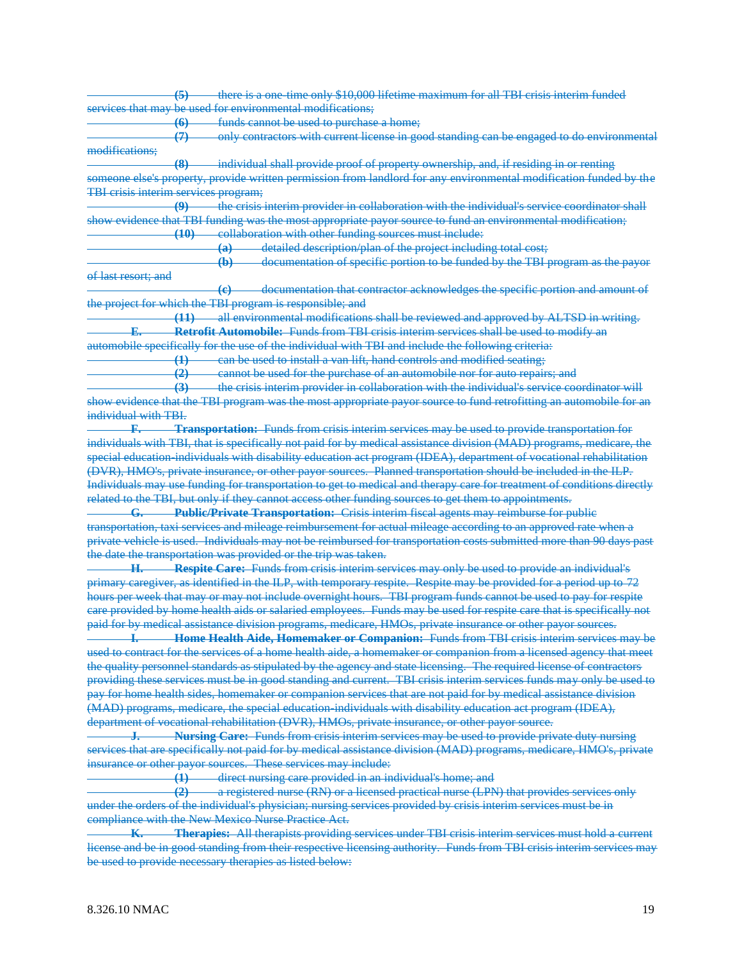**(5)** there is a one-time only \$10,000 lifetime maximum for all TBI crisis interim funded services that may be used for environmental modifications:

**(6)** funds cannot be used to purchase a home;

**(7)** only contractors with current license in good standing can be engaged to do environmental modifications;

**(8)** individual shall provide proof of property ownership, and, if residing in or renting

someone else's property, provide written permission from landlord for any environmental modification funded by the TBI crisis interim services program;

**(9)** the crisis interim provider in collaboration with the individual's service coordinator shall show evidence that TBI funding was the most appropriate payor source to fund an environmental modification; **(10)** collaboration with other funding sources must include:

**(a)** detailed description/plan of the project including total cost;

**(b)** documentation of specific portion to be funded by the TBI program as the payor of last resort; and

**(c)** documentation that contractor acknowledges the specific portion and amount of the project for which the TBI program is responsible; and

**(11)** all environmental modifications shall be reviewed and approved by ALTSD in writing. **E. Retrofit Automobile:** Funds from TBI crisis interim services shall be used to modify an automobile specifically for the use of the individual with TBI and include the following criteria:

**(1)** can be used to install a van lift, hand controls and modified seating;

**(2)** cannot be used for the purchase of an automobile nor for auto repairs; and

**(3)** the crisis interim provider in collaboration with the individual's service coordinator will

show evidence that the TBI program was the most appropriate payor source to fund retrofitting an automobile for an individual with TBI.

**F. Transportation:** Funds from crisis interim services may be used to provide transportation for individuals with TBI, that is specifically not paid for by medical assistance division (MAD) programs, medicare, the special education-individuals with disability education act program (IDEA), department of vocational rehabilitation (DVR), HMO's, private insurance, or other payor sources. Planned transportation should be included in the ILP. Individuals may use funding for transportation to get to medical and therapy care for treatment of conditions directly related to the TBI, but only if they cannot access other funding sources to get them to appointments.

**G. Public/Private Transportation:** Crisis interim fiscal agents may reimburse for public transportation, taxi services and mileage reimbursement for actual mileage according to an approved rate when a private vehicle is used. Individuals may not be reimbursed for transportation costs submitted more than 90 days past the date the transportation was provided or the trip was taken.

**H. Respite Care:** Funds from crisis interim services may only be used to provide an individual's primary caregiver, as identified in the ILP, with temporary respite. Respite may be provided for a period up to 72 hours per week that may or may not include overnight hours. TBI program funds cannot be used to pay for respite care provided by home health aids or salaried employees. Funds may be used for respite care that is specifically not paid for by medical assistance division programs, medicare, HMOs, private insurance or other payor sources.

**I. Home Health Aide, Homemaker or Companion:** Funds from TBI crisis interim services may be used to contract for the services of a home health aide, a homemaker or companion from a licensed agency that meet the quality personnel standards as stipulated by the agency and state licensing. The required license of contractors providing these services must be in good standing and current. TBI crisis interim services funds may only be used to pay for home health sides, homemaker or companion services that are not paid for by medical assistance division (MAD) programs, medicare, the special education-individuals with disability education act program (IDEA), department of vocational rehabilitation (DVR), HMOs, private insurance, or other payor source.

**J. Nursing Care:** Funds from crisis interim services may be used to provide private duty nursing services that are specifically not paid for by medical assistance division (MAD) programs, medicare, HMO's, private insurance or other payor sources. These services may include:

**(1)** direct nursing care provided in an individual's home; and

**(2)** a registered nurse (RN) or a licensed practical nurse (LPN) that provides services only under the orders of the individual's physician; nursing services provided by crisis interim services must be in compliance with the New Mexico Nurse Practice Act.

**K. Therapies:** All therapists providing services under TBI crisis interim services must hold a current license and be in good standing from their respective licensing authority. Funds from TBI crisis interim services may be used to provide necessary therapies as listed below: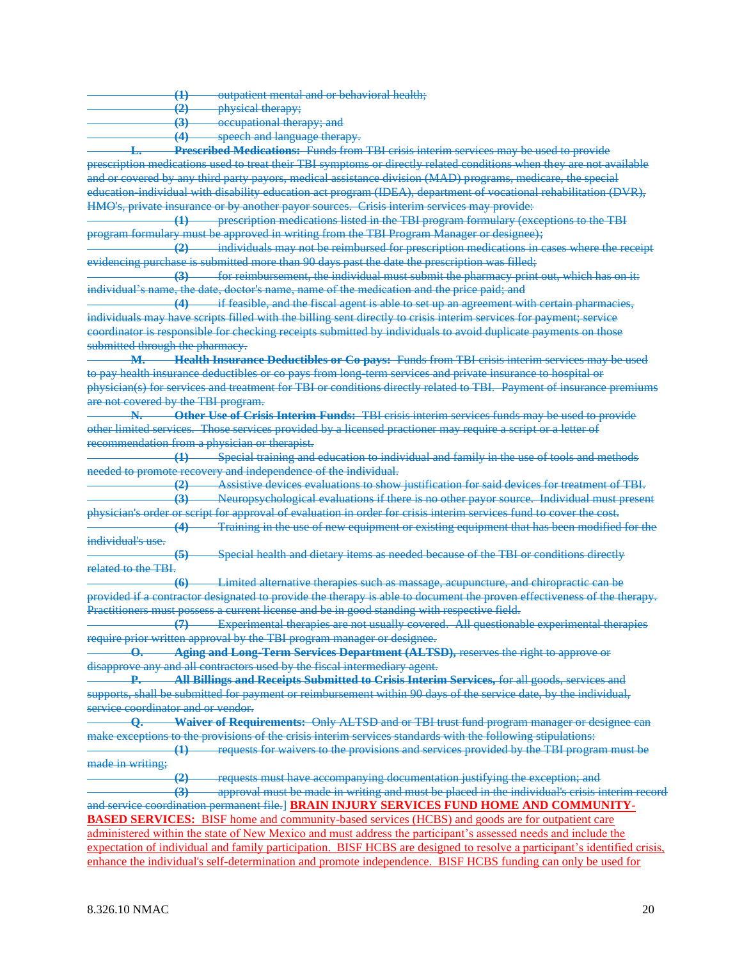|  | outpatient mental and or hebayioral health. |  |
|--|---------------------------------------------|--|
|  | <u>UUQUUUH MUHUL URU UURIU UURI KURI KU</u> |  |
|  |                                             |  |

**(2)** physical therapy;

**(3)** occupational therapy; and **(4)** speech and language therapy.

**L. Prescribed Medications:** Funds from TBI crisis interim services may be used to provide prescription medications used to treat their TBI symptoms or directly related conditions when they are not available and or covered by any third party payors, medical assistance division (MAD) programs, medicare, the special education-individual with disability education act program (IDEA), department of vocational rehabilitation (DVR), HMO's, private insurance or by another payor sources. Crisis interim services may provide:

**(1)** prescription medications listed in the TBI program formulary (exceptions to the TBI program formulary must be approved in writing from the TBI Program Manager or designee);

**(2)** individuals may not be reimbursed for prescription medications in cases where the receipt evidencing purchase is submitted more than 90 days past the date the prescription was filled;

**(3)** for reimbursement, the individual must submit the pharmacy print out, which has on it: individual's name, the date, doctor's name, name of the medication and the price paid; and

**(4)** if feasible, and the fiscal agent is able to set up an agreement with certain pharmacies, individuals may have scripts filled with the billing sent directly to crisis interim services for payment; service coordinator is responsible for checking receipts submitted by individuals to avoid duplicate payments on those submitted through the pharmacy.

**M. Health Insurance Deductibles or Co pays:** Funds from TBI crisis interim services may be used to pay health insurance deductibles or co pays from long-term services and private insurance to hospital or physician(s) for services and treatment for TBI or conditions directly related to TBI. Payment of insurance premiums are not covered by the TBI program.

**N. Other Use of Crisis Interim Funds:** TBI crisis interim services funds may be used to provide other limited services. Those services provided by a licensed practioner may require a script or a letter of recommendation from a physician or therapist.

**(1)** Special training and education to individual and family in the use of tools and methods needed to promote recovery and independence of the individual.

**(2)** Assistive devices evaluations to show justification for said devices for treatment of TBI. **(3)** Neuropsychological evaluations if there is no other payor source. Individual must present

physician's order or script for approval of evaluation in order for crisis interim services fund to cover the cost. **(4)** Training in the use of new equipment or existing equipment that has been modified for the individual's use.

**(5)** Special health and dietary items as needed because of the TBI or conditions directly related to the TBI.

**(6)** Limited alternative therapies such as massage, acupuncture, and chiropractic can be provided if a contractor designated to provide the therapy is able to document the proven effectiveness of the therapy. Practitioners must possess a current license and be in good standing with respective field.

**(7)** Experimental therapies are not usually covered. All questionable experimental therapies require prior written approval by the TBI program manager or designee.

**O. Aging and Long-Term Services Department (ALTSD),** reserves the right to approve or disapprove any and all contractors used by the fiscal intermediary agent.

**P. All Billings and Receipts Submitted to Crisis Interim Services,** for all goods, services and supports, shall be submitted for payment or reimbursement within 90 days of the service date, by the individual, service coordinator and or vendor.

**Q. Waiver of Requirements:** Only ALTSD and or TBI trust fund program manager or designee can make exceptions to the provisions of the crisis interim services standards with the following stipulations:

**(1)** requests for waivers to the provisions and services provided by the TBI program must be made in writing;

**(2)** requests must have accompanying documentation justifying the exception; and

**(3)** approval must be made in writing and must be placed in the individual's crisis interim record and service coordination permanent file.] **BRAIN INJURY SERVICES FUND HOME AND COMMUNITY-BASED SERVICES:** BISF home and community-based services (HCBS) and goods are for outpatient care administered within the state of New Mexico and must address the participant's assessed needs and include the expectation of individual and family participation. BISF HCBS are designed to resolve a participant's identified crisis, enhance the individual's self-determination and promote independence. BISF HCBS funding can only be used for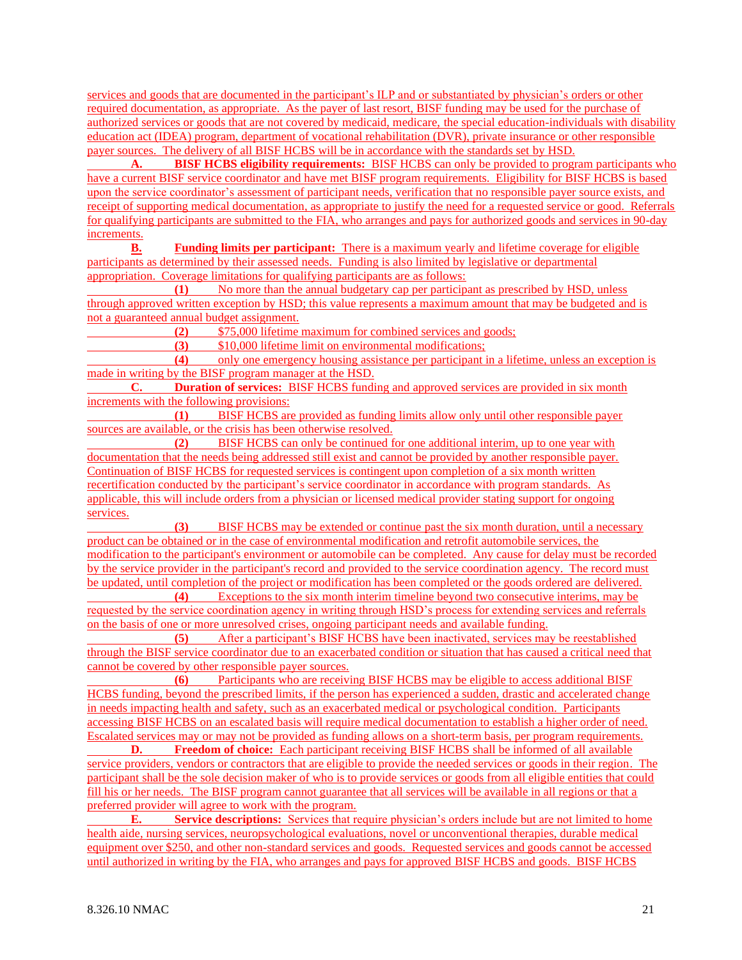services and goods that are documented in the participant's ILP and or substantiated by physician's orders or other required documentation, as appropriate. As the payer of last resort, BISF funding may be used for the purchase of authorized services or goods that are not covered by medicaid, medicare, the special education-individuals with disability education act (IDEA) program, department of vocational rehabilitation (DVR), private insurance or other responsible payer sources. The delivery of all BISF HCBS will be in accordance with the standards set by HSD.

**A. BISF HCBS eligibility requirements:** BISF HCBS can only be provided to program participants who have a current BISF service coordinator and have met BISF program requirements. Eligibility for BISF HCBS is based upon the service coordinator's assessment of participant needs, verification that no responsible payer source exists, and receipt of supporting medical documentation, as appropriate to justify the need for a requested service or good. Referrals for qualifying participants are submitted to the FIA, who arranges and pays for authorized goods and services in 90-day increments.

**B. Funding limits per participant:** There is a maximum yearly and lifetime coverage for eligible participants as determined by their assessed needs. Funding is also limited by legislative or departmental appropriation. Coverage limitations for qualifying participants are as follows:

**(1)** No more than the annual budgetary cap per participant as prescribed by HSD, unless through approved written exception by HSD; this value represents a maximum amount that may be budgeted and is not a guaranteed annual budget assignment.

**(2)** \$75,000 lifetime maximum for combined services and goods;

**(3)** \$10,000 lifetime limit on environmental modifications;

**(4)** only one emergency housing assistance per participant in a lifetime, unless an exception is made in writing by the BISF program manager at the HSD.

**C. Duration of services:** BISF HCBS funding and approved services are provided in six month increments with the following provisions:

**(1)** BISF HCBS are provided as funding limits allow only until other responsible payer sources are available, or the crisis has been otherwise resolved.

**(2)** BISF HCBS can only be continued for one additional interim, up to one year with documentation that the needs being addressed still exist and cannot be provided by another responsible payer. Continuation of BISF HCBS for requested services is contingent upon completion of a six month written recertification conducted by the participant's service coordinator in accordance with program standards. As applicable, this will include orders from a physician or licensed medical provider stating support for ongoing services.

**(3)** BISF HCBS may be extended or continue past the six month duration, until a necessary product can be obtained or in the case of environmental modification and retrofit automobile services, the modification to the participant's environment or automobile can be completed. Any cause for delay must be recorded by the service provider in the participant's record and provided to the service coordination agency. The record must be updated, until completion of the project or modification has been completed or the goods ordered are delivered.

**(4)** Exceptions to the six month interim timeline beyond two consecutive interims, may be requested by the service coordination agency in writing through HSD's process for extending services and referrals on the basis of one or more unresolved crises, ongoing participant needs and available funding.

**(5)** After a participant's BISF HCBS have been inactivated, services may be reestablished through the BISF service coordinator due to an exacerbated condition or situation that has caused a critical need that cannot be covered by other responsible payer sources.

**(6)** Participants who are receiving BISF HCBS may be eligible to access additional BISF HCBS funding, beyond the prescribed limits, if the person has experienced a sudden, drastic and accelerated change in needs impacting health and safety, such as an exacerbated medical or psychological condition. Participants accessing BISF HCBS on an escalated basis will require medical documentation to establish a higher order of need. Escalated services may or may not be provided as funding allows on a short-term basis, per program requirements.

**D. Freedom of choice:** Each participant receiving BISF HCBS shall be informed of all available service providers, vendors or contractors that are eligible to provide the needed services or goods in their region. The participant shall be the sole decision maker of who is to provide services or goods from all eligible entities that could fill his or her needs. The BISF program cannot guarantee that all services will be available in all regions or that a preferred provider will agree to work with the program.

**E. Service descriptions:** Services that require physician's orders include but are not limited to home health aide, nursing services, neuropsychological evaluations, novel or unconventional therapies, durable medical equipment over \$250, and other non-standard services and goods. Requested services and goods cannot be accessed until authorized in writing by the FIA, who arranges and pays for approved BISF HCBS and goods. BISF HCBS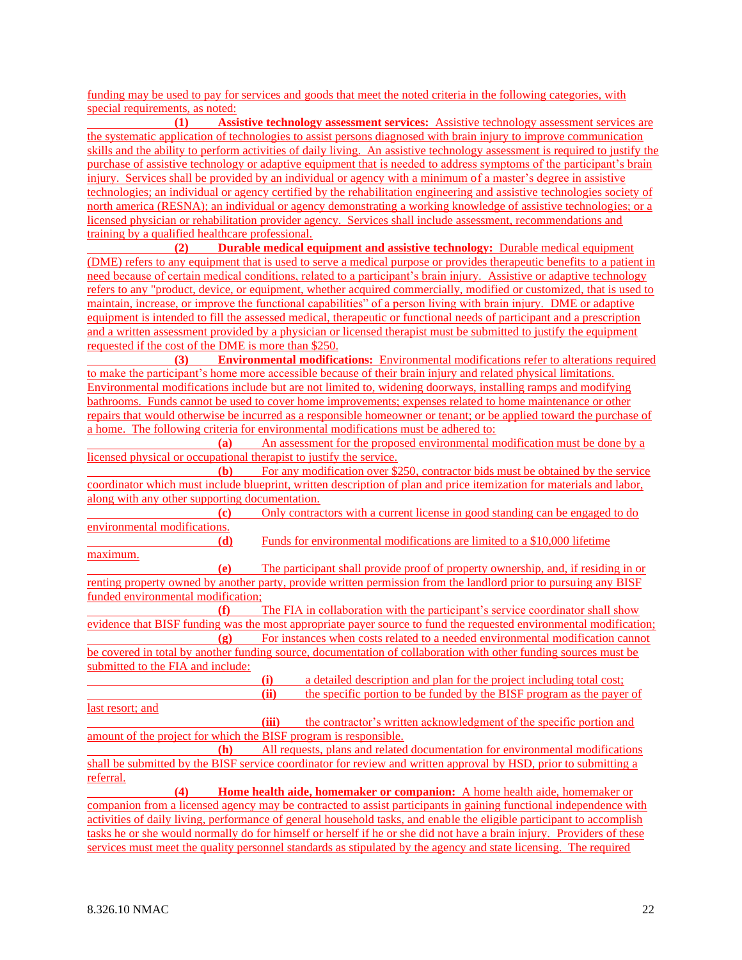funding may be used to pay for services and goods that meet the noted criteria in the following categories, with special requirements, as noted:

**(1) Assistive technology assessment services:** Assistive technology assessment services are the systematic application of technologies to assist persons diagnosed with brain injury to improve communication skills and the ability to perform activities of daily living. An assistive technology assessment is required to justify the purchase of assistive technology or adaptive equipment that is needed to address symptoms of the participant's brain injury. Services shall be provided by an individual or agency with a minimum of a master's degree in assistive technologies; an individual or agency certified by the rehabilitation engineering and assistive technologies society of north america (RESNA); an individual or agency demonstrating a working knowledge of assistive technologies; or a licensed physician or rehabilitation provider agency. Services shall include assessment, recommendations and training by a qualified healthcare professional.

**(2) Durable medical equipment and assistive technology:** Durable medical equipment (DME) refers to any equipment that is used to serve a medical purpose or provides therapeutic benefits to a patient in need because of certain medical conditions, related to a participant's brain injury. Assistive or adaptive technology refers to any "product, device, or equipment, whether acquired commercially, modified or customized, that is used to maintain, increase, or improve the functional capabilities" of a person living with brain injury. DME or adaptive equipment is intended to fill the assessed medical, therapeutic or functional needs of participant and a prescription and a written assessment provided by a physician or licensed therapist must be submitted to justify the equipment requested if the cost of the DME is more than \$250.

**(3) Environmental modifications:** Environmental modifications refer to alterations required to make the participant's home more accessible because of their brain injury and related physical limitations. Environmental modifications include but are not limited to, widening doorways, installing ramps and modifying bathrooms. Funds cannot be used to cover home improvements; expenses related to home maintenance or other repairs that would otherwise be incurred as a responsible homeowner or tenant; or be applied toward the purchase of a home. The following criteria for environmental modifications must be adhered to:

**(a)** An assessment for the proposed environmental modification must be done by a licensed physical or occupational therapist to justify the service.

**(b)** For any modification over \$250, contractor bids must be obtained by the service coordinator which must include blueprint, written description of plan and price itemization for materials and labor, along with any other supporting documentation.

**(c)** Only contractors with a current license in good standing can be engaged to do environmental modifications. **(d)** Funds for environmental modifications are limited to a \$10,000 lifetime maximum. **(e)** The participant shall provide proof of property ownership, and, if residing in or renting property owned by another party, provide written permission from the landlord prior to pursuing any BISF funded environmental modification; **(f)** The FIA in collaboration with the participant's service coordinator shall show evidence that BISF funding was the most appropriate payer source to fund the requested environmental modification; **(g)** For instances when costs related to a needed environmental modification cannot be covered in total by another funding source, documentation of collaboration with other funding sources must be submitted to the FIA and include: **(i)** a detailed description and plan for the project including total cost; **(ii)** the specific portion to be funded by the BISF program as the payer of last resort; and **(iii)** the contractor's written acknowledgment of the specific portion and amount of the project for which the BISF program is responsible.<br>(h) All requests, plans and related **(h)** All requests, plans and related documentation for environmental modifications shall be submitted by the BISF service coordinator for review and written approval by HSD, prior to submitting a referral. **(4) Home health aide, homemaker or companion:** A home health aide, homemaker or companion from a licensed agency may be contracted to assist participants in gaining functional independence with activities of daily living, performance of general household tasks, and enable the eligible participant to accomplish

tasks he or she would normally do for himself or herself if he or she did not have a brain injury. Providers of these services must meet the quality personnel standards as stipulated by the agency and state licensing. The required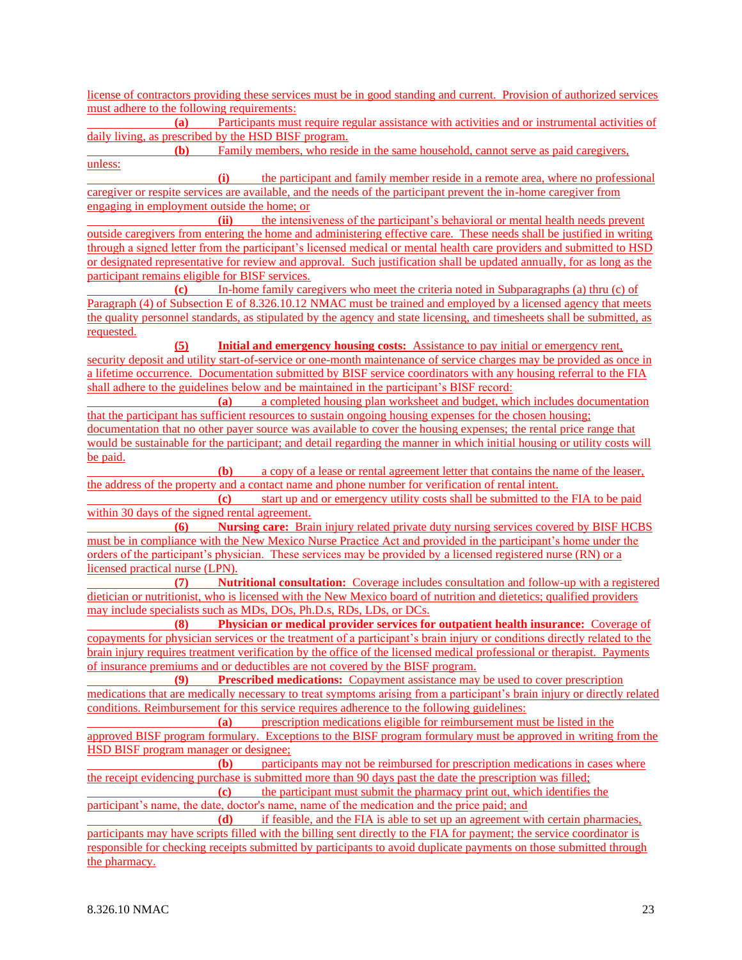license of contractors providing these services must be in good standing and current. Provision of authorized services must adhere to the following requirements:

**(a)** Participants must require regular assistance with activities and or instrumental activities of daily living, as prescribed by the HSD BISF program.

**(b)** Family members, who reside in the same household, cannot serve as paid caregivers, unless:

**(i)** the participant and family member reside in a remote area, where no professional caregiver or respite services are available, and the needs of the participant prevent the in-home caregiver from engaging in employment outside the home; or

**(ii)** the intensiveness of the participant's behavioral or mental health needs prevent outside caregivers from entering the home and administering effective care. These needs shall be justified in writing through a signed letter from the participant's licensed medical or mental health care providers and submitted to HSD or designated representative for review and approval. Such justification shall be updated annually, for as long as the participant remains eligible for BISF services.

**(c)** In-home family caregivers who meet the criteria noted in Subparagraphs (a) thru (c) of Paragraph (4) of Subsection E of 8.326.10.12 NMAC must be trained and employed by a licensed agency that meets the quality personnel standards, as stipulated by the agency and state licensing, and timesheets shall be submitted, as requested.

**(5) Initial and emergency housing costs:** Assistance to pay initial or emergency rent, security deposit and utility start-of-service or one-month maintenance of service charges may be provided as once in a lifetime occurrence. Documentation submitted by BISF service coordinators with any housing referral to the FIA shall adhere to the guidelines below and be maintained in the participant's BISF record:

**(a)** a completed housing plan worksheet and budget, which includes documentation that the participant has sufficient resources to sustain ongoing housing expenses for the chosen housing; documentation that no other payer source was available to cover the housing expenses; the rental price range that would be sustainable for the participant; and detail regarding the manner in which initial housing or utility costs will be paid.

**(b)** a copy of a lease or rental agreement letter that contains the name of the leaser, the address of the property and a contact name and phone number for verification of rental intent.

**(c)** start up and or emergency utility costs shall be submitted to the FIA to be paid within 30 days of the signed rental agreement.

**(6) Nursing care:** Brain injury related private duty nursing services covered by BISF HCBS must be in compliance with the New Mexico Nurse Practice Act and provided in the participant's home under the orders of the participant's physician. These services may be provided by a licensed registered nurse (RN) or a licensed practical nurse (LPN).

**(7) Nutritional consultation:** Coverage includes consultation and follow-up with a registered dietician or nutritionist, who is licensed with the New Mexico board of nutrition and dietetics; qualified providers may include specialists such as MDs, DOs, Ph.D.s, RDs, LDs, or DCs.

**(8) Physician or medical provider services for outpatient health insurance:** Coverage of copayments for physician services or the treatment of a participant's brain injury or conditions directly related to the brain injury requires treatment verification by the office of the licensed medical professional or therapist. Payments of insurance premiums and or deductibles are not covered by the BISF program.

**(9) Prescribed medications:** Copayment assistance may be used to cover prescription medications that are medically necessary to treat symptoms arising from a participant's brain injury or directly related conditions. Reimbursement for this service requires adherence to the following guidelines:

**(a)** prescription medications eligible for reimbursement must be listed in the approved BISF program formulary. Exceptions to the BISF program formulary must be approved in writing from the HSD BISF program manager or designee;

**(b)** participants may not be reimbursed for prescription medications in cases where the receipt evidencing purchase is submitted more than 90 days past the date the prescription was filled;

**(c)** the participant must submit the pharmacy print out, which identifies the participant's name, the date, doctor's name, name of the medication and the price paid; and

**(d)** if feasible, and the FIA is able to set up an agreement with certain pharmacies, participants may have scripts filled with the billing sent directly to the FIA for payment; the service coordinator is responsible for checking receipts submitted by participants to avoid duplicate payments on those submitted through the pharmacy.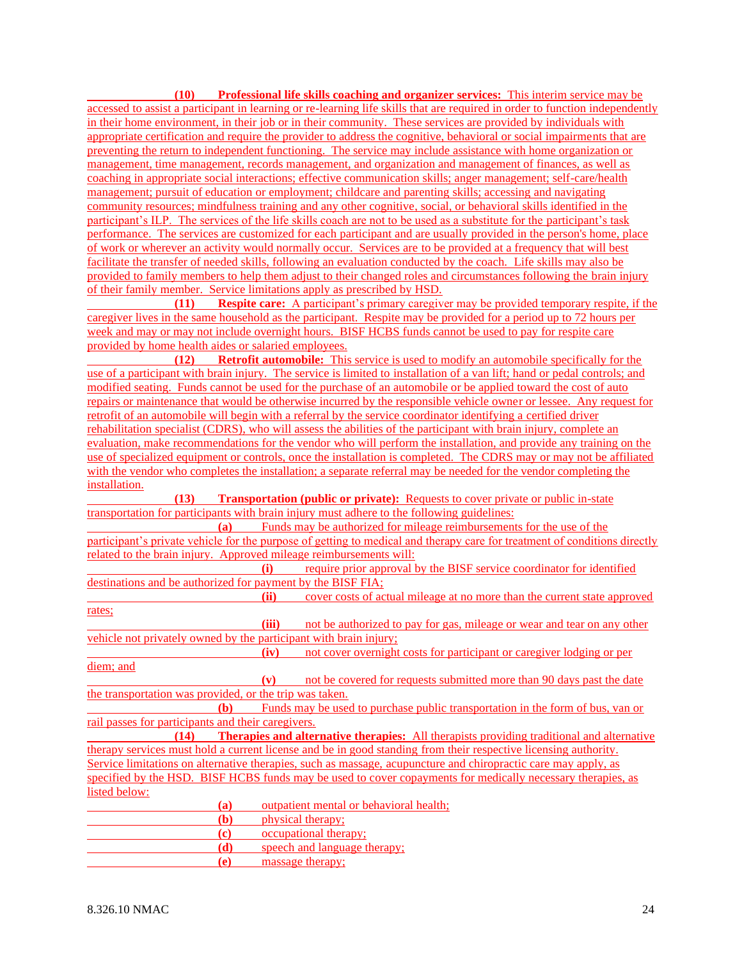**(10) Professional life skills coaching and organizer services:** This interim service may be accessed to assist a participant in learning or re-learning life skills that are required in order to function independently in their home environment, in their job or in their community. These services are provided by individuals with appropriate certification and require the provider to address the cognitive, behavioral or social impairments that are preventing the return to independent functioning. The service may include assistance with home organization or management, time management, records management, and organization and management of finances, as well as coaching in appropriate social interactions; effective communication skills; anger management; self-care/health management; pursuit of education or employment; childcare and parenting skills; accessing and navigating community resources; mindfulness training and any other cognitive, social, or behavioral skills identified in the participant's ILP. The services of the life skills coach are not to be used as a substitute for the participant's task performance. The services are customized for each participant and are usually provided in the person's home, place of work or wherever an activity would normally occur. Services are to be provided at a frequency that will best facilitate the transfer of needed skills, following an evaluation conducted by the coach. Life skills may also be provided to family members to help them adjust to their changed roles and circumstances following the brain injury of their family member. Service limitations apply as prescribed by HSD.

**(11) Respite care:** A participant's primary caregiver may be provided temporary respite, if the caregiver lives in the same household as the participant. Respite may be provided for a period up to 72 hours per week and may or may not include overnight hours. BISF HCBS funds cannot be used to pay for respite care provided by home health aides or salaried employees.

**(12) Retrofit automobile:** This service is used to modify an automobile specifically for the use of a participant with brain injury. The service is limited to installation of a van lift; hand or pedal controls; and modified seating. Funds cannot be used for the purchase of an automobile or be applied toward the cost of auto repairs or maintenance that would be otherwise incurred by the responsible vehicle owner or lessee. Any request for retrofit of an automobile will begin with a referral by the service coordinator identifying a certified driver rehabilitation specialist (CDRS), who will assess the abilities of the participant with brain injury, complete an evaluation, make recommendations for the vendor who will perform the installation, and provide any training on the use of specialized equipment or controls, once the installation is completed. The CDRS may or may not be affiliated with the vendor who completes the installation; a separate referral may be needed for the vendor completing the installation.

**(13) Transportation (public or private):** Requests to cover private or public in-state transportation for participants with brain injury must adhere to the following guidelines:

| (a)                                                                |                                                                                  | Funds may be authorized for mileage reimbursements for the use of the                                                     |  |  |  |  |  |
|--------------------------------------------------------------------|----------------------------------------------------------------------------------|---------------------------------------------------------------------------------------------------------------------------|--|--|--|--|--|
|                                                                    |                                                                                  | participant's private vehicle for the purpose of getting to medical and therapy care for treatment of conditions directly |  |  |  |  |  |
| related to the brain injury. Approved mileage reimbursements will: |                                                                                  |                                                                                                                           |  |  |  |  |  |
|                                                                    | (i)                                                                              | require prior approval by the BISF service coordinator for identified                                                     |  |  |  |  |  |
| destinations and be authorized for payment by the BISF FIA;        |                                                                                  |                                                                                                                           |  |  |  |  |  |
|                                                                    | (ii)<br>cover costs of actual mileage at no more than the current state approved |                                                                                                                           |  |  |  |  |  |
| rates;                                                             |                                                                                  |                                                                                                                           |  |  |  |  |  |
|                                                                    | (iii)                                                                            | not be authorized to pay for gas, mileage or wear and tear on any other                                                   |  |  |  |  |  |
| vehicle not privately owned by the participant with brain injury;  |                                                                                  |                                                                                                                           |  |  |  |  |  |
|                                                                    | (iv)                                                                             | not cover overnight costs for participant or caregiver lodging or per                                                     |  |  |  |  |  |
| diem; and                                                          |                                                                                  |                                                                                                                           |  |  |  |  |  |
|                                                                    | (v)                                                                              | not be covered for requests submitted more than 90 days past the date                                                     |  |  |  |  |  |
| the transportation was provided, or the trip was taken.            |                                                                                  |                                                                                                                           |  |  |  |  |  |
| (b)                                                                |                                                                                  | Funds may be used to purchase public transportation in the form of bus, van or                                            |  |  |  |  |  |
| rail passes for participants and their caregivers.                 |                                                                                  |                                                                                                                           |  |  |  |  |  |
| (14)                                                               |                                                                                  | <b>Therapies and alternative therapies:</b> All therapists providing traditional and alternative                          |  |  |  |  |  |
|                                                                    |                                                                                  | therapy services must hold a current license and be in good standing from their respective licensing authority.           |  |  |  |  |  |
|                                                                    |                                                                                  | Service limitations on alternative therapies, such as massage, acupuncture and chiropractic care may apply, as            |  |  |  |  |  |
|                                                                    |                                                                                  | specified by the HSD. BISF HCBS funds may be used to cover copayments for medically necessary therapies, as               |  |  |  |  |  |
| listed below:                                                      |                                                                                  |                                                                                                                           |  |  |  |  |  |
| (a)                                                                |                                                                                  | outpatient mental or behavioral health;                                                                                   |  |  |  |  |  |
| (b)                                                                |                                                                                  | physical therapy;                                                                                                         |  |  |  |  |  |
| (c)                                                                |                                                                                  | occupational therapy;                                                                                                     |  |  |  |  |  |
| (d)                                                                |                                                                                  | speech and language therapy:                                                                                              |  |  |  |  |  |

**(e)** massage therapy;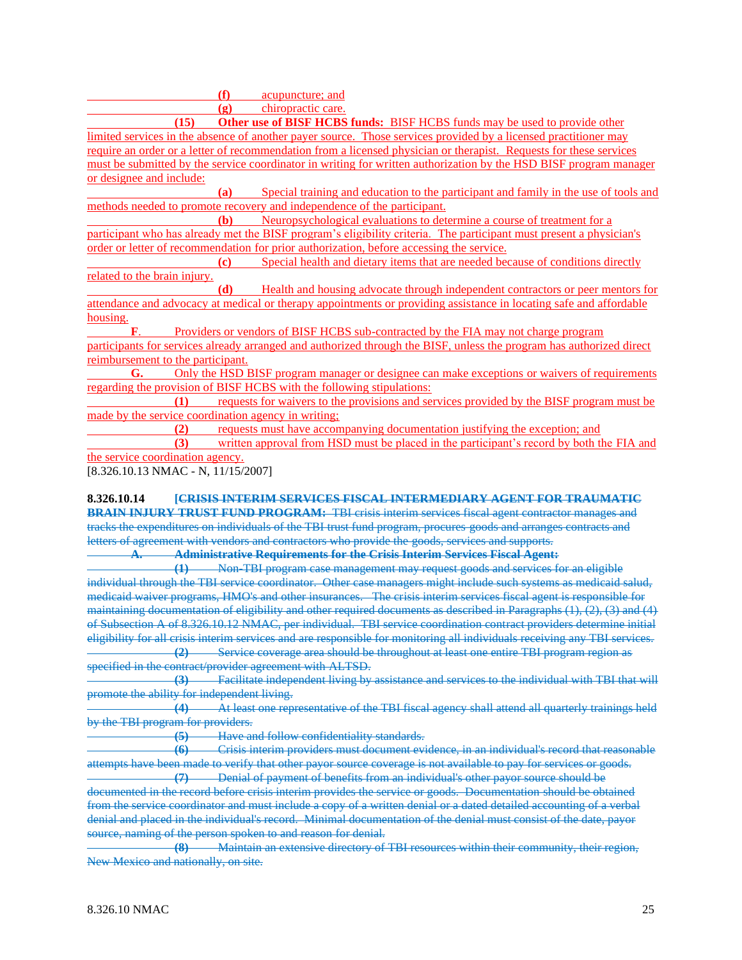**(f)** acupuncture; and

**(g)** chiropractic care.

**(15) Other use of BISF HCBS funds:** BISF HCBS funds may be used to provide other limited services in the absence of another payer source. Those services provided by a licensed practitioner may require an order or a letter of recommendation from a licensed physician or therapist. Requests for these services must be submitted by the service coordinator in writing for written authorization by the HSD BISF program manager or designee and include:

**(a)** Special training and education to the participant and family in the use of tools and methods needed to promote recovery and independence of the participant.

**(b)** Neuropsychological evaluations to determine a course of treatment for a participant who has already met the BISF program's eligibility criteria. The participant must present a physician's order or letter of recommendation for prior authorization, before accessing the service.

**(c)** Special health and dietary items that are needed because of conditions directly related to the brain injury.

**(d)** Health and housing advocate through independent contractors or peer mentors for attendance and advocacy at medical or therapy appointments or providing assistance in locating safe and affordable housing.

**F**. Providers or vendors of BISF HCBS sub-contracted by the FIA may not charge program participants for services already arranged and authorized through the BISF, unless the program has authorized direct reimbursement to the participant.

**G.** Only the HSD BISF program manager or designee can make exceptions or waivers of requirements regarding the provision of BISF HCBS with the following stipulations:

**(1)** requests for waivers to the provisions and services provided by the BISF program must be made by the service coordination agency in writing;

**(2)** requests must have accompanying documentation justifying the exception; and

**(3)** written approval from HSD must be placed in the participant's record by both the FIA and the service coordination agency.

[8.326.10.13 NMAC - N, 11/15/2007]

**8.326.10.14 [CRISIS INTERIM SERVICES FISCAL INTERMEDIARY AGENT FOR TRAUMATIC BRAIN INJURY TRUST FUND PROGRAM:** TBI crisis interim services fiscal agent contractor manages and tracks the expenditures on individuals of the TBI trust fund program, procures goods and arranges contracts and letters of agreement with vendors and contractors who provide the goods, services and supports.

**A. Administrative Requirements for the Crisis Interim Services Fiscal Agent:**

**(1)** Non-TBI program case management may request goods and services for an eligible individual through the TBI service coordinator. Other case managers might include such systems as medicaid salud, medicaid waiver programs, HMO's and other insurances. The crisis interim services fiscal agent is responsible for maintaining documentation of eligibility and other required documents as described in Paragraphs (1), (2), (3) and (4) of Subsection A of 8.326.10.12 NMAC, per individual. TBI service coordination contract providers determine initial eligibility for all crisis interim services and are responsible for monitoring all individuals receiving any TBI services. **(2)** Service coverage area should be throughout at least one entire TBI program region as

specified in the contract/provider agreement with ALTSD.

**(3)** Facilitate independent living by assistance and services to the individual with TBI that will promote the ability for independent living.

**(4)** At least one representative of the TBI fiscal agency shall attend all quarterly trainings held by the TBI program for providers.

**(5)** Have and follow confidentiality standards.

**(6)** Crisis interim providers must document evidence, in an individual's record that reasonable attempts have been made to verify that other payor source coverage is not available to pay for services or goods. **(7)** Denial of payment of benefits from an individual's other payor source should be

documented in the record before crisis interim provides the service or goods. Documentation should be obtained from the service coordinator and must include a copy of a written denial or a dated detailed accounting of a verbal denial and placed in the individual's record. Minimal documentation of the denial must consist of the date, payor source, naming of the person spoken to and reason for denial.

**(8)** Maintain an extensive directory of TBI resources within their community, their region, New Mexico and nationally, on site.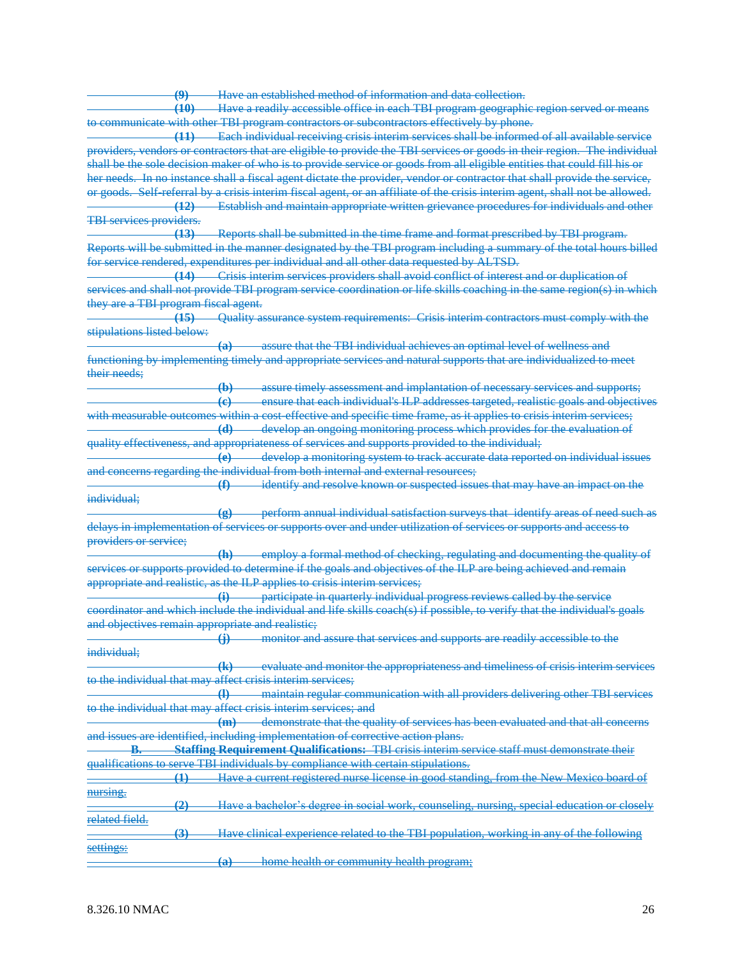Have an established method of information and data collection.

**(10)** Have a readily accessible office in each TBI program geographic region served or means to communicate with other TBI program contractors or subcontractors effectively by phone.

**(11)** Each individual receiving crisis interim services shall be informed of all available service providers, vendors or contractors that are eligible to provide the TBI services or goods in their region. The individual shall be the sole decision maker of who is to provide service or goods from all eligible entities that could fill his or her needs. In no instance shall a fiscal agent dictate the provider, vendor or contractor that shall provide the service, or goods. Self-referral by a crisis interim fiscal agent, or an affiliate of the crisis interim agent, shall not be allowed. **(12)** Establish and maintain appropriate written grievance procedures for individuals and other

TBI services providers.

**(13)** Reports shall be submitted in the time frame and format prescribed by TBI program. Reports will be submitted in the manner designated by the TBI program including a summary of the total hours billed for service rendered, expenditures per individual and all other data requested by ALTSD.

**(14)** Crisis interim services providers shall avoid conflict of interest and or duplication of services and shall not provide TBI program service coordination or life skills coaching in the same region(s) in which they are a TBI program fiscal agent.

**(15)** Quality assurance system requirements: Crisis interim contractors must comply with the stipulations listed below:

**(a)** assure that the TBI individual achieves an optimal level of wellness and functioning by implementing timely and appropriate services and natural supports that are individualized to meet their needs;

**(b)** assure timely assessment and implantation of necessary services and supports; **(c)** ensure that each individual's ILP addresses targeted, realistic goals and objectives with measurable outcomes within a cost-effective and specific time frame, as it applies to crisis interim services; **(d)** develop an ongoing monitoring process which provides for the evaluation of quality effectiveness, and appropriateness of services and supports provided to the individual;

**(e)** develop a monitoring system to track accurate data reported on individual issues and concerns regarding the individual from both internal and external resources;

**(f)** identify and resolve known or suspected issues that may have an impact on the individual;

**(g)** perform annual individual satisfaction surveys that identify areas of need such as delays in implementation of services or supports over and under utilization of services or supports and access to providers or service;

**(h)** employ a formal method of checking, regulating and documenting the quality of services or supports provided to determine if the goals and objectives of the ILP are being achieved and remain appropriate and realistic, as the ILP applies to crisis interim services;

**(i)** participate in quarterly individual progress reviews called by the service coordinator and which include the individual and life skills coach(s) if possible, to verify that the individual's goals and objectives remain appropriate and realistic;

**(j)** monitor and assure that services and supports are readily accessible to the individual;

**(k)** evaluate and monitor the appropriateness and timeliness of crisis interim services to the individual that may affect crisis interim services:

**(l)** maintain regular communication with all providers delivering other TBI services to the individual that may affect crisis interim services; and

**(m)** demonstrate that the quality of services has been evaluated and that all concerns and issues are identified, including implementation of corrective action plans.

**Staffing Requirement Qualifications:** TBI crisis interim service staff must demonstrate their qualifications to serve TBI individuals by compliance with certain stipulations.

**(1)** Have a current registered nurse license in good standing, from the New Mexico board of nursing.

**(2)** Have a bachelor's degree in social work, counseling, nursing, special education or closely related field.

|           |   |  |                                                   |  |  | Hove clinical experience related to the TRI population working in any of the following           |
|-----------|---|--|---------------------------------------------------|--|--|--------------------------------------------------------------------------------------------------|
|           | . |  |                                                   |  |  | <u>Trave emilical experience related to the 1151 population, working in any of the following</u> |
| settings: |   |  |                                                   |  |  |                                                                                                  |
|           |   |  | home health or community health program.          |  |  |                                                                                                  |
|           |   |  | <u>home nealth of community nealth of calling</u> |  |  |                                                                                                  |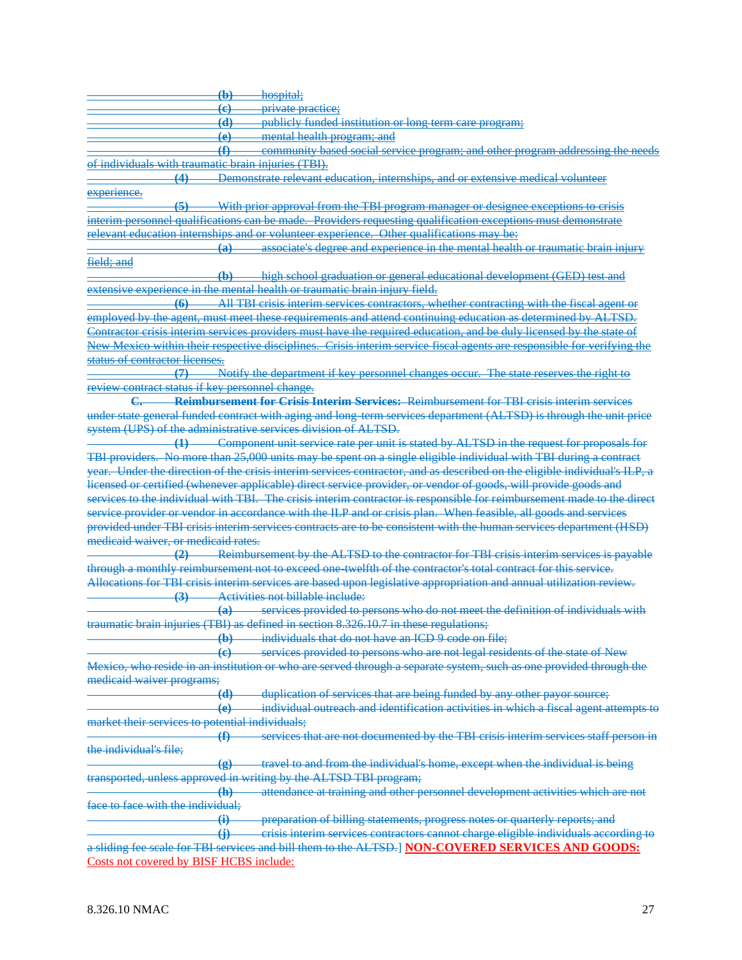**(b)** hospital; **(c)** private practice; **(d)** publicly funded institution or long term care program; **(e)** mental health program; and **(f)** community based social service program; and other program addressing the needs of individuals with traumatic brain injuries (TBI). **(4)** Demonstrate relevant education, internships, and or extensive medical volunteer experience. **(5)** With prior approval from the TBI program manager or designee exceptions to crisis interim personnel qualifications can be made. Providers requesting qualification exceptions must demonstrate relevant education internships and or volunteer experience. Other qualifications may be: **(a)** associate's degree and experience in the mental health or traumatic brain injury field; and **(b)** high school graduation or general educational development (GED) test and extensive experience in the mental health or traumatic brain injury field. **(6)** All TBI crisis interim services contractors, whether contracting with the fiscal agent or employed by the agent, must meet these requirements and attend continuing education as determined by ALTSD. Contractor crisis interim services providers must have the required education, and be duly licensed by the state of New Mexico within their respective disciplines. Crisis interim service fiscal agents are responsible for verifying the status of contractor licenses. **(7)** Notify the department if key personnel changes occur. The state reserves the right to review contract status if key personnel change. **C. Reimbursement for Crisis Interim Services:** Reimbursement for TBI crisis interim services under state general funded contract with aging and long-term services department (ALTSD) is through the unit price system (UPS) of the administrative services division of ALTSD. **(1)** Component unit service rate per unit is stated by ALTSD in the request for proposals for TBI providers. No more than 25,000 units may be spent on a single eligible individual with TBI during a contract year. Under the direction of the crisis interim services contractor, and as described on the eligible individual's ILP, a licensed or certified (whenever applicable) direct service provider, or vendor of goods, will provide goods and services to the individual with TBI. The crisis interim contractor is responsible for reimbursement made to the direct service provider or vendor in accordance with the ILP and or crisis plan. When feasible, all goods and services provided under TBI crisis interim services contracts are to be consistent with the human services department (HSD) medicaid waiver, or medicaid rates. **(2)** Reimbursement by the ALTSD to the contractor for TBI crisis interim services is payable through a monthly reimbursement not to exceed one-twelfth of the contractor's total contract for this service. Allocations for TBI crisis interim services are based upon legislative appropriation and annual utilization review. **(3)** Activities not billable include: **(a)** services provided to persons who do not meet the definition of individuals with traumatic brain injuries (TBI) as defined in section 8.326.10.7 in these regulations; **(b)** individuals that do not have an ICD 9 code on file; **(c)** services provided to persons who are not legal residents of the state of New Mexico, who reside in an institution or who are served through a separate system, such as one provided through the medicaid waiver programs; **(d)** duplication of services that are being funded by any other payor source; **(e)** individual outreach and identification activities in which a fiscal agent attempts to market their services to potential individuals; **(f)** services that are not documented by the TBI crisis interim services staff person in the individual's file; **(g)** travel to and from the individual's home, except when the individual is being transported, unless approved in writing by the ALTSD TBI program; **(h)** attendance at training and other personnel development activities which are not face to face with the individual; **(i)** preparation of billing statements, progress notes or quarterly reports; and **(j)** crisis interim services contractors cannot charge eligible individuals according to a sliding fee scale for TBI services and bill them to the ALTSD.] **NON-COVERED SERVICES AND GOODS:** Costs not covered by BISF HCBS include: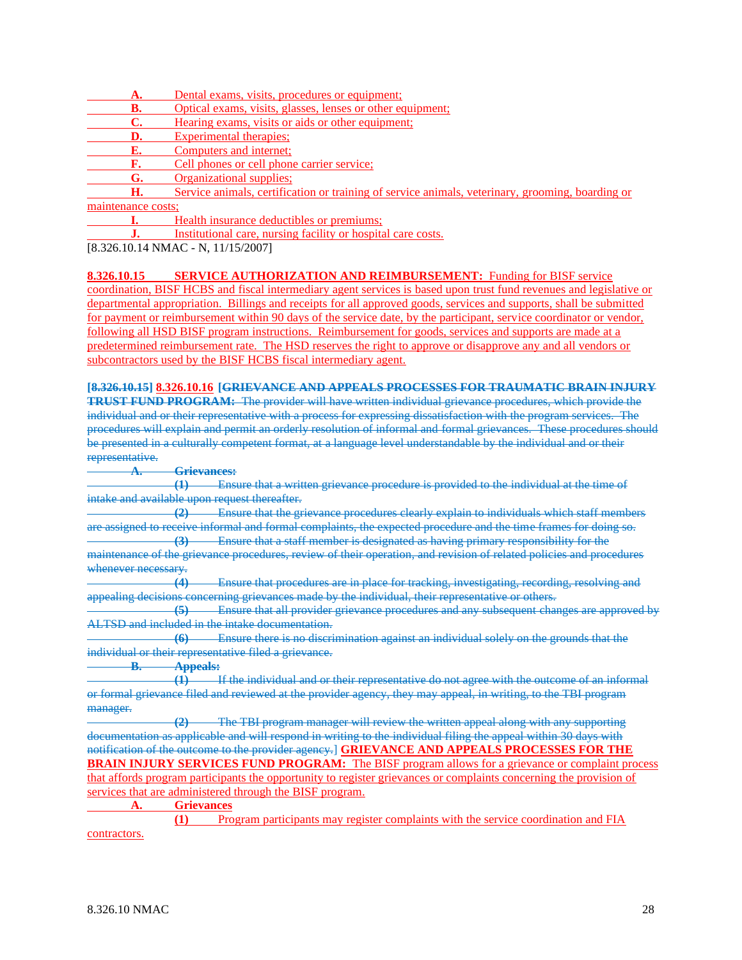- **A.** Dental exams, visits, procedures or equipment;
- **B.** Optical exams, visits, glasses, lenses or other equipment:
- **C.** Hearing exams, visits or aids or other equipment;
- **D.** Experimental therapies;
- **E.** Computers and internet;
- **F.** Cell phones or cell phone carrier service;
- **G.** Organizational supplies;

**H.** Service animals, certification or training of service animals, veterinary, grooming, boarding or maintenance costs;

**I.** Health insurance deductibles or premiums;

**J.** Institutional care, nursing facility or hospital care costs.

[8.326.10.14 NMAC - N, 11/15/2007]

**8.326.10.15 SERVICE AUTHORIZATION AND REIMBURSEMENT:** Funding for BISF service coordination, BISF HCBS and fiscal intermediary agent services is based upon trust fund revenues and legislative or departmental appropriation. Billings and receipts for all approved goods, services and supports, shall be submitted for payment or reimbursement within 90 days of the service date, by the participant, service coordinator or vendor, following all HSD BISF program instructions. Reimbursement for goods, services and supports are made at a predetermined reimbursement rate. The HSD reserves the right to approve or disapprove any and all vendors or subcontractors used by the BISF HCBS fiscal intermediary agent.

**[8.326.10.15] 8.326.10.16 [GRIEVANCE AND APPEALS PROCESSES FOR TRAUMATIC BRAIN INJURY** 

**TRUST FUND PROGRAM:** The provider will have written individual grievance procedures, which provide the individual and or their representative with a process for expressing dissatisfaction with the program services. The procedures will explain and permit an orderly resolution of informal and formal grievances. These procedures should be presented in a culturally competent format, at a language level understandable by the individual and or their representative.

**A. Grievances:**

**(1)** Ensure that a written grievance procedure is provided to the individual at the time of intake and available upon request thereafter.

**(2)** Ensure that the grievance procedures clearly explain to individuals which staff members are assigned to receive informal and formal complaints, the expected procedure and the time frames for doing so. **(3)** Ensure that a staff member is designated as having primary responsibility for the maintenance of the grievance procedures, review of their operation, and revision of related policies and procedures

whenever necessary.

**(4)** Ensure that procedures are in place for tracking, investigating, recording, resolving and appealing decisions concerning grievances made by the individual, their representative or others.

**(5)** Ensure that all provider grievance procedures and any subsequent changes are approved by ALTSD and included in the intake documentation.

**(6)** Ensure there is no discrimination against an individual solely on the grounds that the individual or their representative filed a grievance.

**B. Appeals:**

**(1)** If the individual and or their representative do not agree with the outcome of an informal or formal grievance filed and reviewed at the provider agency, they may appeal, in writing, to the TBI program manager.

**(2)** The TBI program manager will review the written appeal along with any supporting documentation as applicable and will respond in writing to the individual filing the appeal within 30 days with notification of the outcome to the provider agency.] **GRIEVANCE AND APPEALS PROCESSES FOR THE BRAIN INJURY SERVICES FUND PROGRAM:** The BISF program allows for a grievance or complaint process that affords program participants the opportunity to register grievances or complaints concerning the provision of services that are administered through the BISF program.

**A. Grievances**

**(1)** Program participants may register complaints with the service coordination and FIA contractors.